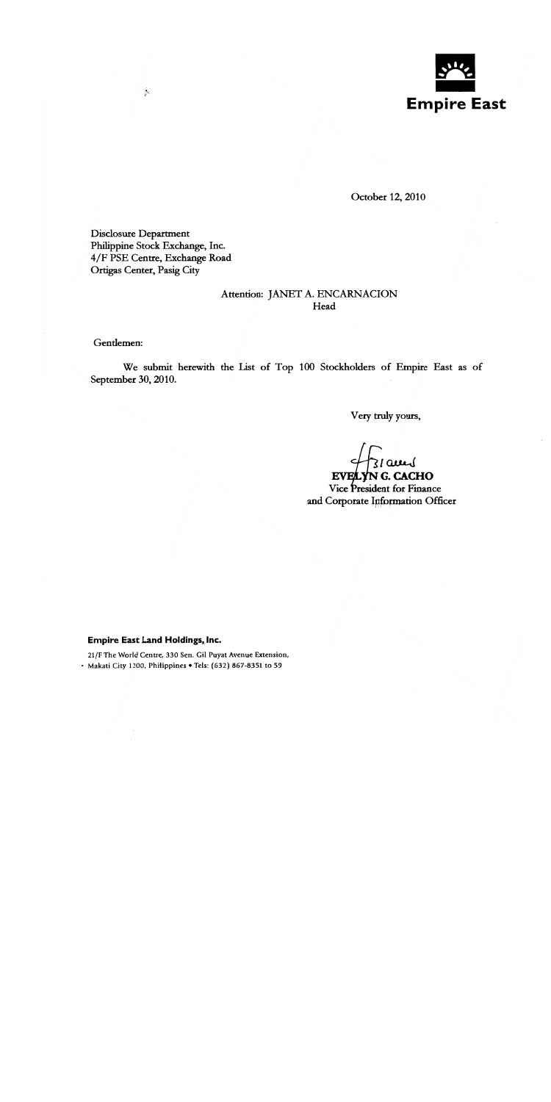

October 12, 2010

Disclosure Department Philippine Stock Exchange, Inc. 4/F PSE Centre, Exchange Road Ortigas Center, Pasig City

 $\mathcal{L}$ 

## Attention: JANET A. ENCARNACION Head

Gentlemen:

We submit herewith the List of Top 100 Stockholders of Empire East as of September 30, 2010.

Very truly yours,

EVELYN G. CACHO Vice President for Finance and Corporate Information Officer

Empire East Land Holdings, Inc.

21/F The World Centre, 330 Sen. Gil Puyat Avenue Extension, · Makati City 1200, Philippines • Tels: (632) 867-8351 to 59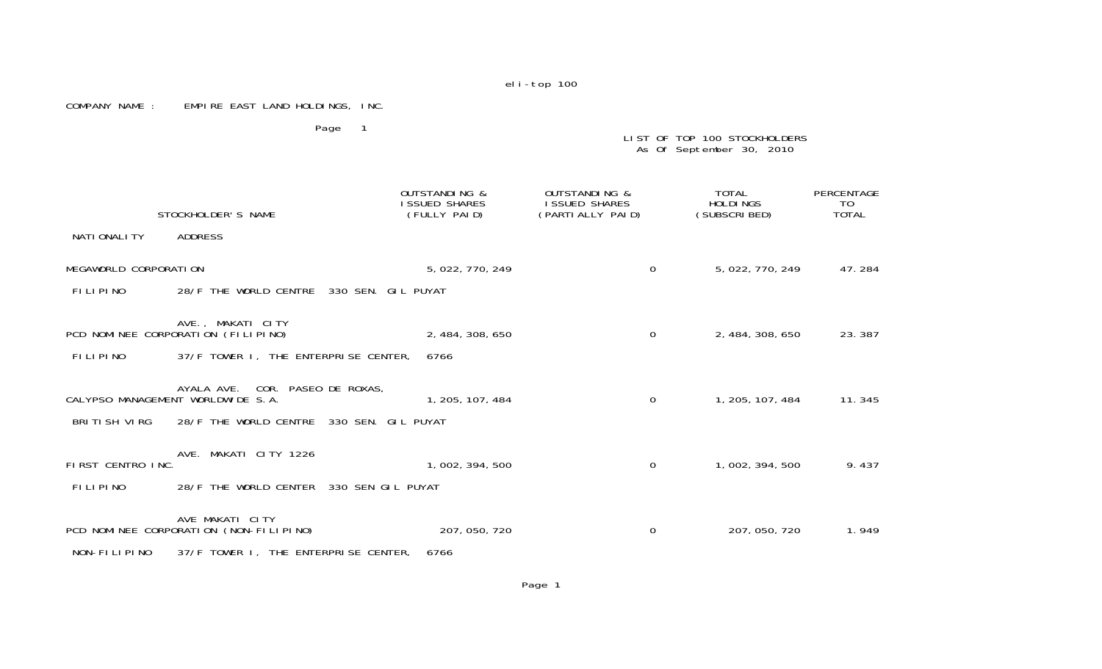## COMPANY NAME : EMPIRE EAST LAND HOLDINGS, INC.

Page 1

LIST OF TOP 100 STOCKHOLDERS As Of September 30, 2010

|                       | STOCKHOLDER'S NAME                                                   | OUTSTANDING &<br><b>I SSUED SHARES</b><br>(FULLY PAID) |                  | OUTSTANDING &<br>I SSUED SHARES<br>(PARTI ALLY PAID) | TOTAL<br><b>HOLDINGS</b><br>(SUBSCRIBED) | PERCENTAGE<br>T0<br><b>TOTAL</b> |
|-----------------------|----------------------------------------------------------------------|--------------------------------------------------------|------------------|------------------------------------------------------|------------------------------------------|----------------------------------|
| NATI ONALI TY         | ADDRESS                                                              |                                                        |                  |                                                      |                                          |                                  |
| MEGAWORLD CORPORATION |                                                                      |                                                        | 5, 022, 770, 249 | $\Omega$                                             | 5, 022, 770, 249                         | 47.284                           |
| <b>FILIPINO</b>       | 28/F THE WORLD CENTRE 330 SEN. GIL PUYAT                             |                                                        |                  |                                                      |                                          |                                  |
|                       | AVE., MAKATI CITY<br>PCD NOMINEE CORPORATION (FILIPINO)              |                                                        | 2, 484, 308, 650 | $\Omega$                                             | 2, 484, 308, 650                         | 23.387                           |
| <b>FILIPINO</b>       | 37/F TOWER I, THE ENTERPRISE CENTER,                                 | 6766                                                   |                  |                                                      |                                          |                                  |
|                       | AYALA AVE. COR. PASEO DE ROXAS,<br>CALYPSO MANAGEMENT WORLDWIDE S.A. |                                                        | 1, 205, 107, 484 | $\Omega$                                             | 1, 205, 107, 484                         | 11.345                           |
| BRITISH VIRG          | 28/F THE WORLD CENTRE 330 SEN. GIL PUYAT                             |                                                        |                  |                                                      |                                          |                                  |
| FIRST CENTRO INC.     | AVE. MAKATI CITY 1226                                                |                                                        | 1, 002, 394, 500 | $\Omega$                                             | 1, 002, 394, 500                         | 9.437                            |
| <b>FILIPINO</b>       | 28/F THE WORLD CENTER 330 SEN GIL PUYAT                              |                                                        |                  |                                                      |                                          |                                  |
|                       | AVE MAKATI CITY<br>PCD NOMINEE CORPORATION (NON-FILIPINO)            |                                                        | 207, 050, 720    | 0                                                    | 207, 050, 720                            | 1.949                            |
| NON-FILIPINO          | 37/F TOWER I, THE ENTERPRISE CENTER,                                 | 6766                                                   |                  |                                                      |                                          |                                  |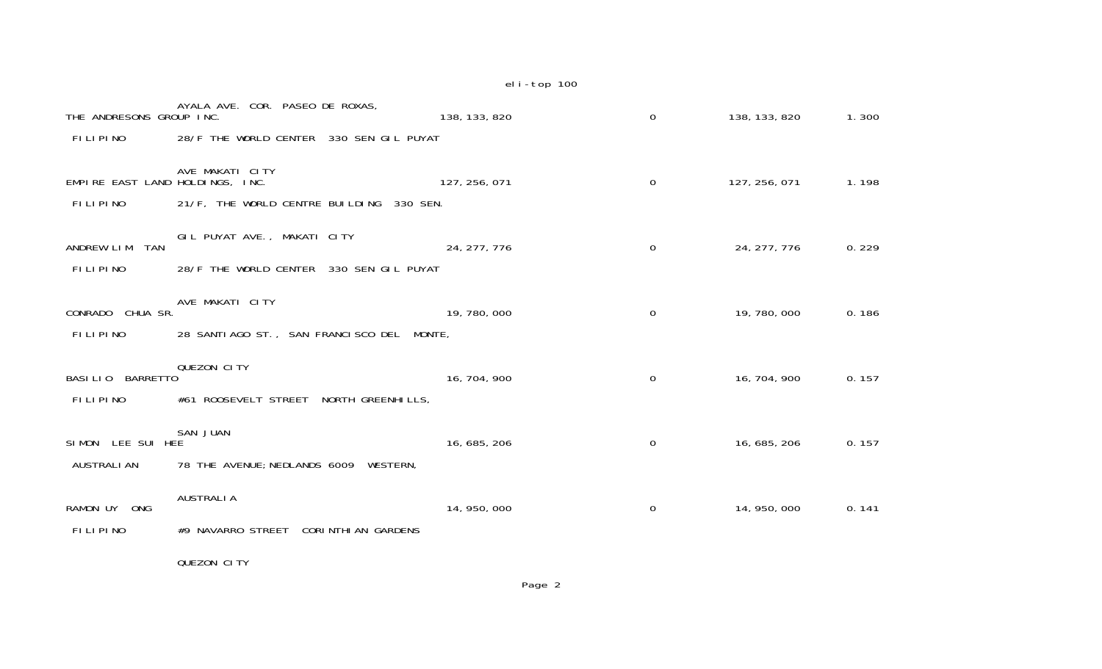| THE ANDRESONS GROUP INC.        | AYALA AVE. COR. PASEO DE ROXAS,           | 138, 133, 820 | 0              | 138, 133, 820 | 1.300 |
|---------------------------------|-------------------------------------------|---------------|----------------|---------------|-------|
| <b>FILIPINO</b>                 | 28/F THE WORLD CENTER 330 SEN GIL PUYAT   |               |                |               |       |
| EMPIRE EAST LAND HOLDINGS, INC. | AVE MAKATI CITY                           | 127, 256, 071 | $\mathbf 0$    | 127, 256, 071 | 1.198 |
| <b>FILIPINO</b>                 | 21/F, THE WORLD CENTRE BUILDING 330 SEN.  |               |                |               |       |
| ANDREW LIM<br><b>TAN</b>        | GIL PUYAT AVE., MAKATI CITY               | 24, 277, 776  | $\mathbf 0$    | 24, 277, 776  | 0.229 |
| <b>FILIPINO</b>                 | 28/F THE WORLD CENTER 330 SEN GIL PUYAT   |               |                |               |       |
| CONRADO CHUA SR.                | AVE MAKATI CITY                           | 19, 780, 000  | $\overline{0}$ | 19, 780, 000  | 0.186 |
| <b>FILIPINO</b>                 | 28 SANTIAGO ST., SAN FRANCISCO DEL MONTE, |               |                |               |       |
| BASILIO BARRETTO                | QUEZON CITY                               | 16, 704, 900  | $\mathbf 0$    | 16, 704, 900  | 0.157 |
| <b>FILIPINO</b>                 | #61 ROOSEVELT STREET NORTH GREENHILLS,    |               |                |               |       |
| SIMON LEE SUI HEE               | <b>SAN JUAN</b>                           | 16, 685, 206  | $\Omega$       | 16, 685, 206  | 0.157 |
| <b>AUSTRALI AN</b>              | 78 THE AVENUE; NEDLANDS 6009 WESTERN,     |               |                |               |       |
| RAMON UY ONG                    | <b>AUSTRALIA</b>                          | 14, 950, 000  | $\mathbf{O}$   | 14, 950, 000  | 0.141 |
| <b>FILIPINO</b>                 | #9 NAVARRO STREET CORINTHIAN GARDENS      |               |                |               |       |
|                                 | QUEZON CITY                               |               |                |               |       |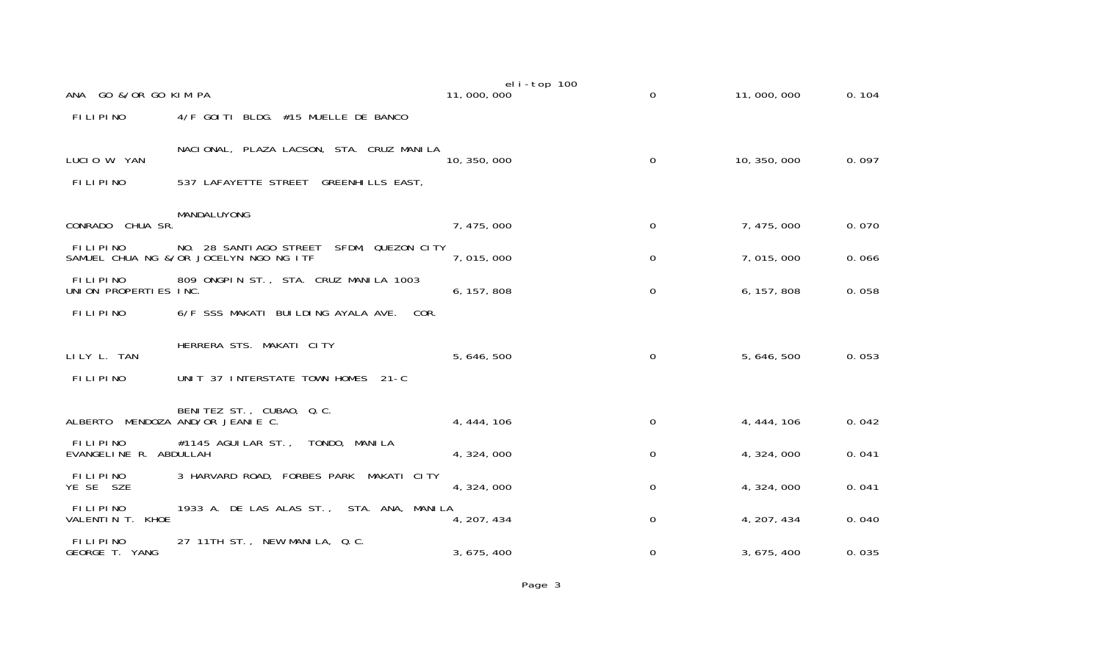| ANA GO &/OR GO KIM PA                    |                                                                                       | eli-top 100<br>11,000,000 | $\mathbf 0$ | 11,000,000   | 0.104 |
|------------------------------------------|---------------------------------------------------------------------------------------|---------------------------|-------------|--------------|-------|
| <b>FILIPINO</b>                          | 4/F GOITI BLDG. #15 MUELLE DE BANCO                                                   |                           |             |              |       |
| LUCIO W. YAN                             | NACIONAL, PLAZA LACSON, STA. CRUZ MANILA                                              | 10, 350, 000              | 0           | 10, 350, 000 | 0.097 |
| FILIPINO                                 | 537 LAFAYETTE STREET GREENHILLS EAST,                                                 |                           |             |              |       |
| CONRADO CHUA SR.                         | MANDALUYONG                                                                           | 7, 475, 000               | 0           | 7, 475, 000  | 0.070 |
| FILIPINO                                 | NO. 28 SANTIAGO STREET<br>SFDM, QUEZON CITY<br>SAMUEL CHUA NG &/OR JOCELYN NGO NG ITF | 7,015,000                 | 0           | 7,015,000    | 0.066 |
| <b>FILIPINO</b><br>UNION PROPERTIES INC. | 809 ONGPIN ST., STA. CRUZ MANILA 1003                                                 | 6, 157, 808               | $\Omega$    | 6, 157, 808  | 0.058 |
| <b>FILIPINO</b>                          | 6/F SSS MAKATI BUILDING AYALA AVE.<br>COR.                                            |                           |             |              |       |
|                                          | HERRERA STS. MAKATI CITY                                                              |                           |             |              |       |
| LILY L. TAN                              |                                                                                       | 5, 646, 500               | $\Omega$    | 5, 646, 500  | 0.053 |
| FILIPINO                                 | UNIT 37 INTERSTATE TOWN HOMES 21-C                                                    |                           |             |              |       |
|                                          | BENITEZ ST., CUBAO, Q.C.<br>ALBERTO MENDOZA AND/OR JEANIE C.                          | 4, 444, 106               | $\Omega$    | 4, 444, 106  | 0.042 |
| FILIPINO<br>EVANGELINE R. ABDULLAH       | #1145 AGUILAR ST., TONDO, MANILA                                                      | 4, 324, 000               | 0           | 4, 324, 000  | 0.041 |
| <b>FILIPINO</b><br>YE SE SZE             | 3 HARVARD ROAD, FORBES PARK<br>MAKATI CITY                                            | 4, 324, 000               | 0           | 4, 324, 000  | 0.041 |
| FILIPINO<br>VALENTIN T. KHOE             | 1933 A. DE LAS ALAS ST., STA. ANA, MANILA                                             | 4, 207, 434               | 0           | 4, 207, 434  | 0.040 |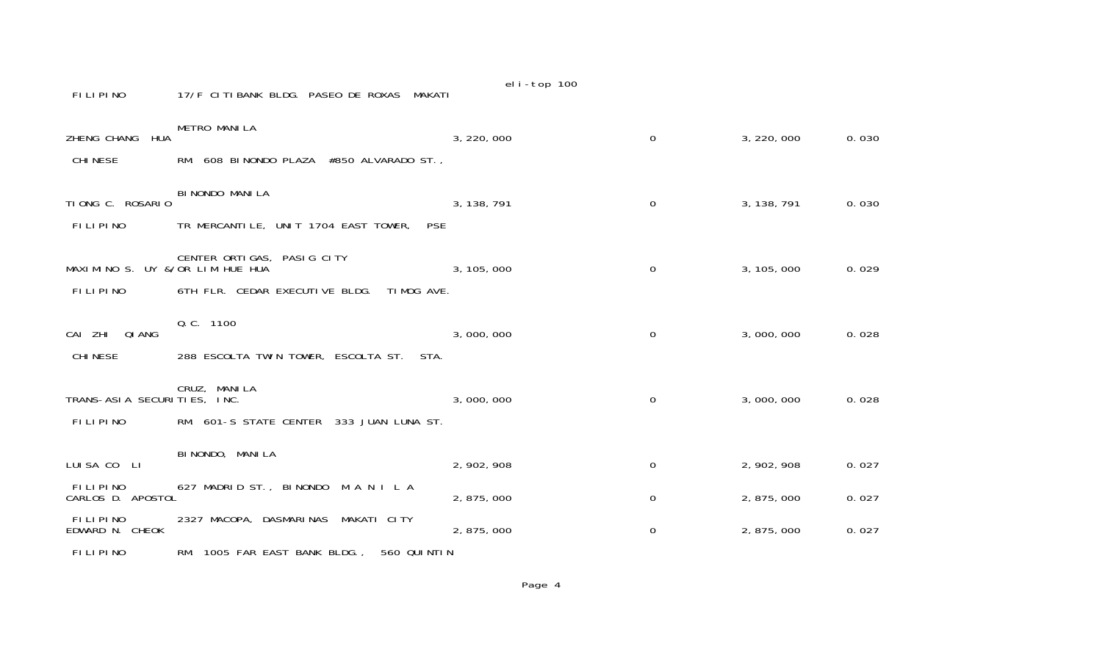| FILIPINO                                    | 17/F CITIBANK BLDG. PASEO DE ROXAS MAKATI                                  | $C_{11}$ - $C_{12}$ $C_{13}$ |              |             |       |
|---------------------------------------------|----------------------------------------------------------------------------|------------------------------|--------------|-------------|-------|
| HUA<br>ZHENG CHANG<br><b>CHI NESE</b>       | METRO MANILA<br>RM. 608 BINONDO PLAZA #850 ALVARADO ST.,                   | 3, 220, 000                  | $\Omega$     | 3, 220, 000 | 0.030 |
| TIONG C. ROSARIO<br><b>FILIPINO</b>         | BI NONDO MANI LA<br>TR MERCANTILE, UNIT 1704 EAST TOWER,<br><b>PSE</b>     | 3, 138, 791                  | $\mathbf{O}$ | 3, 138, 791 | 0.030 |
| MAXIMINO S. UY &/OR LIM HUE HUA<br>FILIPINO | CENTER ORTIGAS, PASIG CITY<br>6TH FLR. CEDAR EXECUTIVE BLDG.<br>TIMOG AVE. | 3, 105, 000                  | 0            | 3, 105, 000 | 0.029 |
| CAI ZHI QIANG<br><b>CHI NESE</b>            | Q. C. 1100<br>288 ESCOLTA TWIN TOWER, ESCOLTA ST. STA.                     | 3,000,000                    | 0            | 3,000,000   | 0.028 |
| TRANS-ASIA SECURITIES, INC.<br>FILIPINO     | CRUZ, MANILA<br>RM. 601-S STATE CENTER 333 JUAN LUNA ST.                   | 3,000,000                    | 0            | 3,000,000   | 0.028 |
| LUISA CO LI                                 | BI NONDO, MANI LA                                                          | 2, 902, 908                  | 0            | 2, 902, 908 | 0.027 |
| <b>FILIPINO</b><br>CARLOS D. APOSTOL        | 627 MADRID ST., BINONDO M A N I L A                                        | 2,875,000                    | $\Omega$     | 2, 875, 000 | 0.027 |
| FILIPINO<br>EDWARD N. CHEOK                 | 2327 MACOPA, DASMARINAS<br>MAKATI CITY                                     | 2, 875, 000                  | 0            | 2, 875, 000 | 0.027 |
| FILIPINO                                    | RM. 1005 FAR EAST BANK BLDG.,<br>560 QUINTIN                               |                              |              |             |       |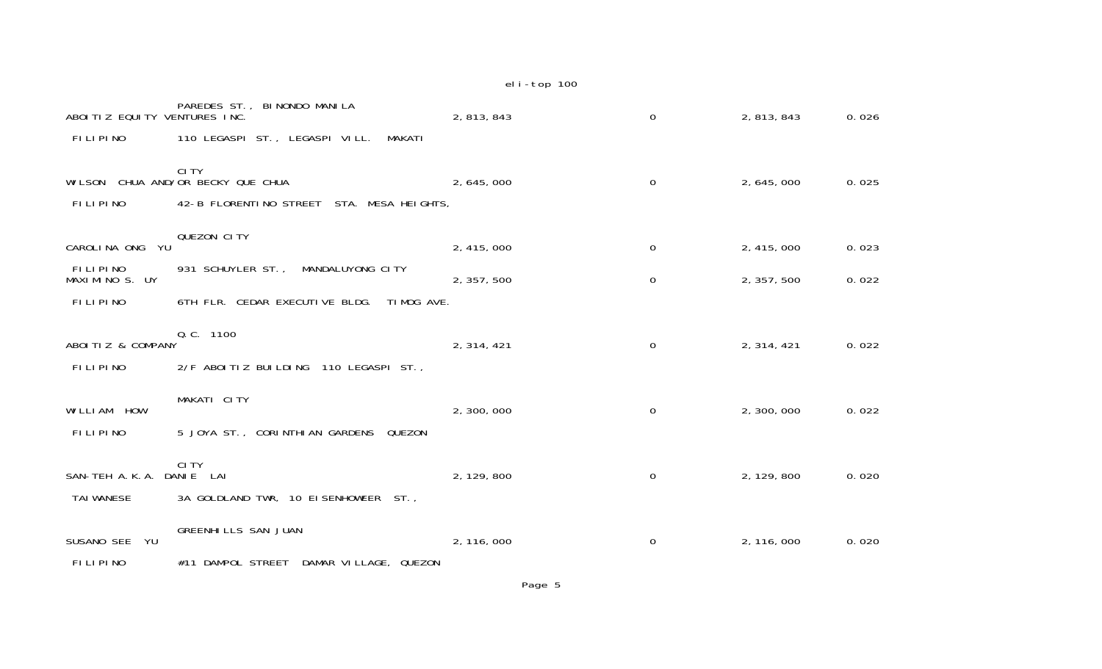| ABOITIZ EQUITY VENTURES INC.<br>FILIPINO    | PAREDES ST., BI NONDO MANILA<br>110 LEGASPI ST., LEGASPI VILL.<br>MAKATI                         | 2, 813, 843 | $\mathbf 0$ | 2, 813, 843 | 0.026 |
|---------------------------------------------|--------------------------------------------------------------------------------------------------|-------------|-------------|-------------|-------|
| <b>FILIPINO</b>                             | <b>CITY</b><br>WILSON CHUA AND/OR BECKY QUE CHUA<br>42-B FLORENTINO STREET<br>STA. MESA HEIGHTS, | 2, 645, 000 | $\mathbf 0$ | 2, 645, 000 | 0.025 |
| YU<br>CAROLINA ONG                          | QUEZON CITY                                                                                      | 2, 415, 000 | $\mathbf 0$ | 2, 415, 000 | 0.023 |
| FILIPINO<br>MAXIMINO S. UY                  | 931 SCHUYLER ST.,<br>MANDALUYONG CITY                                                            | 2, 357, 500 | $\Omega$    | 2, 357, 500 | 0.022 |
| <b>FILIPINO</b>                             | 6TH FLR. CEDAR EXECUTIVE BLDG.<br>TIMOG AVE.                                                     |             |             |             |       |
| ABOITIZ & COMPANY<br><b>FILIPINO</b>        | Q. C. 1100<br>2/F ABOITIZ BUILDING 110 LEGASPI ST.,                                              | 2, 314, 421 | 0           | 2, 314, 421 | 0.022 |
| WILLIAM HOW                                 | MAKATI CITY                                                                                      | 2,300,000   | $\mathbf 0$ | 2,300,000   | 0.022 |
| <b>FILIPINO</b><br>SAN-TEH A.K.A. DANIE LAI | 5 JOYA ST., CORINTHIAN GARDENS<br>QUEZON<br>CI TY                                                | 2, 129, 800 | $\mathbf 0$ | 2, 129, 800 | 0.020 |
| <b>TAI WANESE</b>                           | 3A GOLDLAND TWR, 10 EISENHOWEER ST.,                                                             |             |             |             |       |
| SUSANO SEE<br>YU.                           | <b>GREENHILLS SAN JUAN</b>                                                                       | 2, 116, 000 | 0           | 2, 116, 000 | 0.020 |
| <b>FILIPINO</b>                             | #11 DAMPOL STREET<br>DAMAR VILLAGE, QUEZON                                                       |             |             |             |       |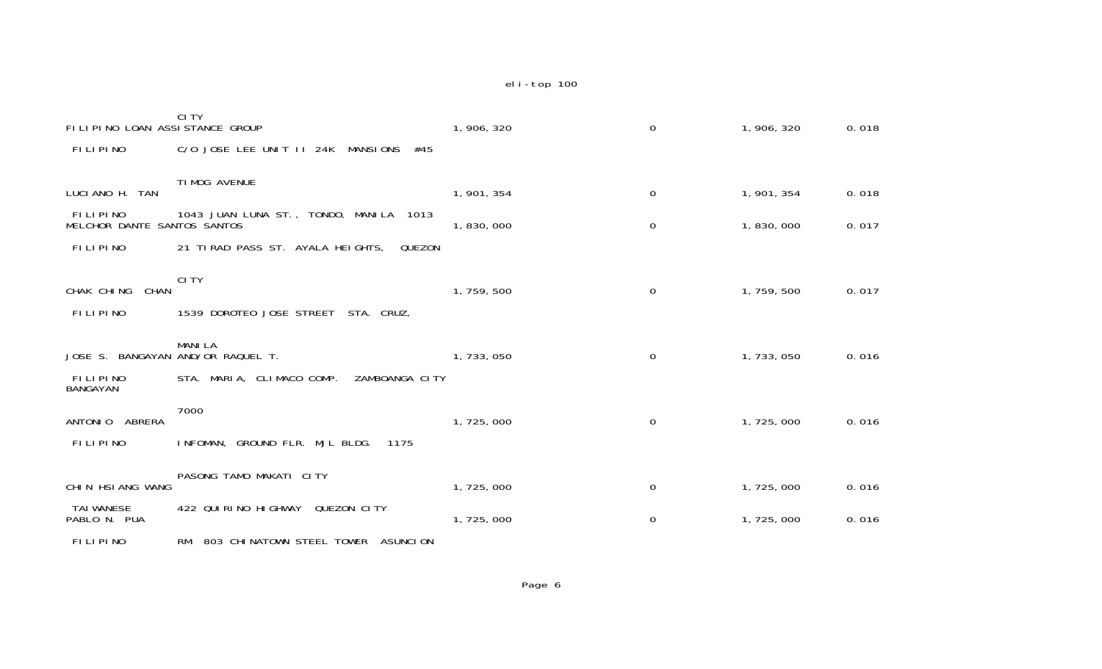| FILIPINO LOAN ASSISTANCE GROUP          | CI TY                                           | 1, 906, 320 | 0              | 1, 906, 320 | 0.018 |
|-----------------------------------------|-------------------------------------------------|-------------|----------------|-------------|-------|
| FILIPINO                                | C/O JOSE LEE UNIT II 24K MANSIONS<br>#45        |             |                |             |       |
| LUCIANO H. TAN                          | TI MOG AVENUE                                   | 1, 901, 354 | 0              | 1, 901, 354 | 0.018 |
| FILIPINO<br>MELCHOR DANTE SANTOS SANTOS | 1043 JUAN LUNA ST., TONDO, MANILA 1013          | 1,830,000   | $\mathbf 0$    | 1,830,000   | 0.017 |
| FILIPINO                                | 21 TIRAD PASS ST. AYALA HEIGHTS,<br>QUEZON      |             |                |             |       |
| CHAK CHING<br><b>CHAN</b><br>FILIPINO   | CI TY<br>1539 DOROTEO JOSE STREET<br>STA. CRUZ, | 1,759,500   | 0              | 1, 759, 500 | 0.017 |
| JOSE S. BANGAYAN AND/OR RAQUEL T.       | <b>MANILA</b>                                   | 1,733,050   | $\overline{0}$ | 1, 733, 050 | 0.016 |
| <b>FILIPINO</b><br>BANGAYAN             | STA. MARIA, CLIMACO COMP.<br>ZAMBOANGA CITY     |             |                |             |       |
| ANTONIO ABRERA                          | 7000                                            | 1,725,000   | 0              | 1,725,000   | 0.016 |
| <b>FILIPINO</b>                         | INFOMAN, GROUND FLR. MJL BLDG.<br>1175          |             |                |             |       |
| CHIN HSIANG WANG                        | PASONG TAMO MAKATI CITY                         | 1,725,000   | 0              | 1,725,000   | 0.016 |
| <b>TAI WANESE</b><br>PABLO N. PUA       | 422 QUIRINO HIGHWAY<br>QUEZON CITY              | 1,725,000   | 0              | 1,725,000   | 0.016 |
| FILIPINO                                | RM. 803 CHINATOWN STEEL TOWER ASUNCION          |             |                |             |       |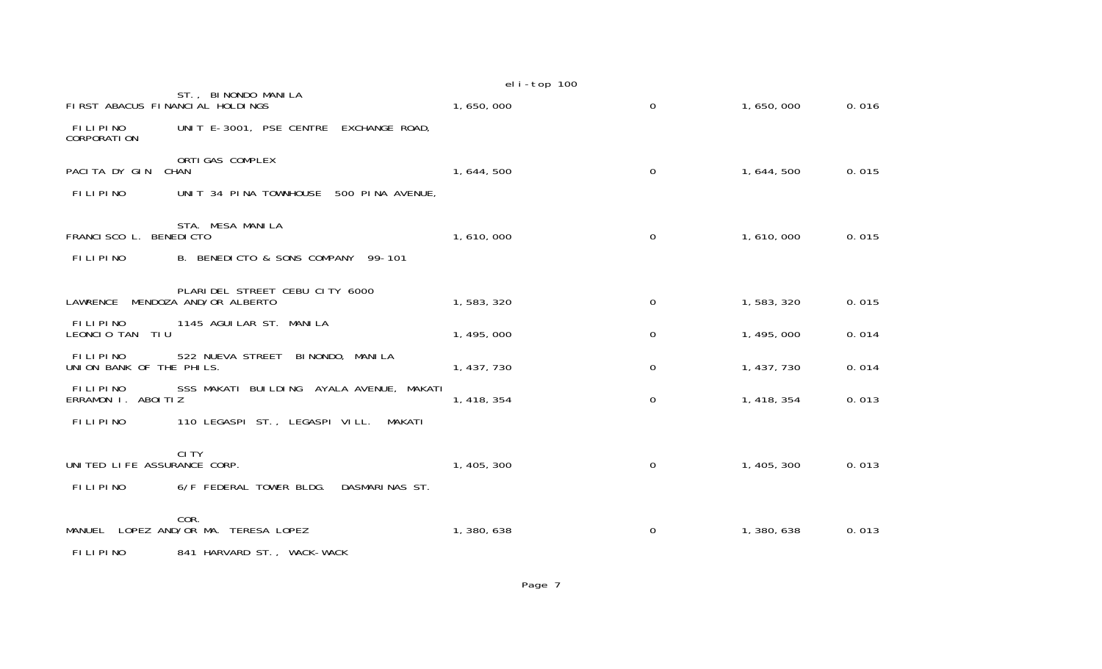|                                           |                                                               | eli-top 100 |                     |             |       |
|-------------------------------------------|---------------------------------------------------------------|-------------|---------------------|-------------|-------|
| FIRST ABACUS FINANCIAL HOLDINGS           | ST., BINONDO MANILA                                           | 1,650,000   | $\Omega$            | 1,650,000   | 0.016 |
| FILIPINO<br><b>CORPORATION</b>            | UNIT E-3001, PSE CENTRE EXCHANGE ROAD,                        |             |                     |             |       |
| PACITA DY GIN                             | ORTI GAS COMPLEX<br><b>CHAN</b>                               | 1, 644, 500 | 0                   | 1, 644, 500 | 0.015 |
| <b>FILIPINO</b>                           | 500 PINA AVENUE,<br>UNIT 34 PINA TOWNHOUSE                    |             |                     |             |       |
| FRANCISCO L. BENEDICTO<br><b>FILIPINO</b> | STA. MESA MANILA<br>B. BENEDICTO & SONS COMPANY<br>$99 - 101$ | 1,610,000   | 0                   | 1,610,000   | 0.015 |
|                                           |                                                               |             |                     |             |       |
| LAWRENCE                                  | PLARIDEL STREET CEBU CITY 6000<br>MENDOZA AND/OR ALBERTO      | 1,583,320   | 0                   | 1,583,320   | 0.015 |
| FILIPINO<br>LEONCIO TAN<br>TIU            | 1145 AGUI LAR ST. MANI LA                                     | 1, 495, 000 | $\mathbf 0$         | 1, 495, 000 | 0.014 |
| FILIPINO<br>UNION BANK OF THE PHILS.      | 522 NUEVA STREET<br>BI NONDO, MANI LA                         | 1, 437, 730 | 0                   | 1, 437, 730 | 0.014 |
| <b>FILIPINO</b><br>ERRAMON I. ABOITIZ     | SSS MAKATI BUILDING AYALA AVENUE, MAKATI                      | 1, 418, 354 | $\mathsf{O}\xspace$ | 1, 418, 354 | 0.013 |
| <b>FILIPINO</b>                           | 110 LEGASPI ST., LEGASPI VILL.<br>MAKATI                      |             |                     |             |       |
| UNITED LIFE ASSURANCE CORP.               | <b>CITY</b>                                                   | 1, 405, 300 | 0                   | 1, 405, 300 | 0.013 |
| <b>FILIPINO</b>                           | 6/F FEDERAL TOWER BLDG.<br>DASMARINAS ST.                     |             |                     |             |       |
| MANUEL                                    | COR.<br>LOPEZ AND/OR MA. TERESA LOPEZ                         | 1,380,638   | 0                   | 1,380,638   | 0.013 |
| FILIPINO                                  | 841 HARVARD ST., WACK-WACK                                    |             |                     |             |       |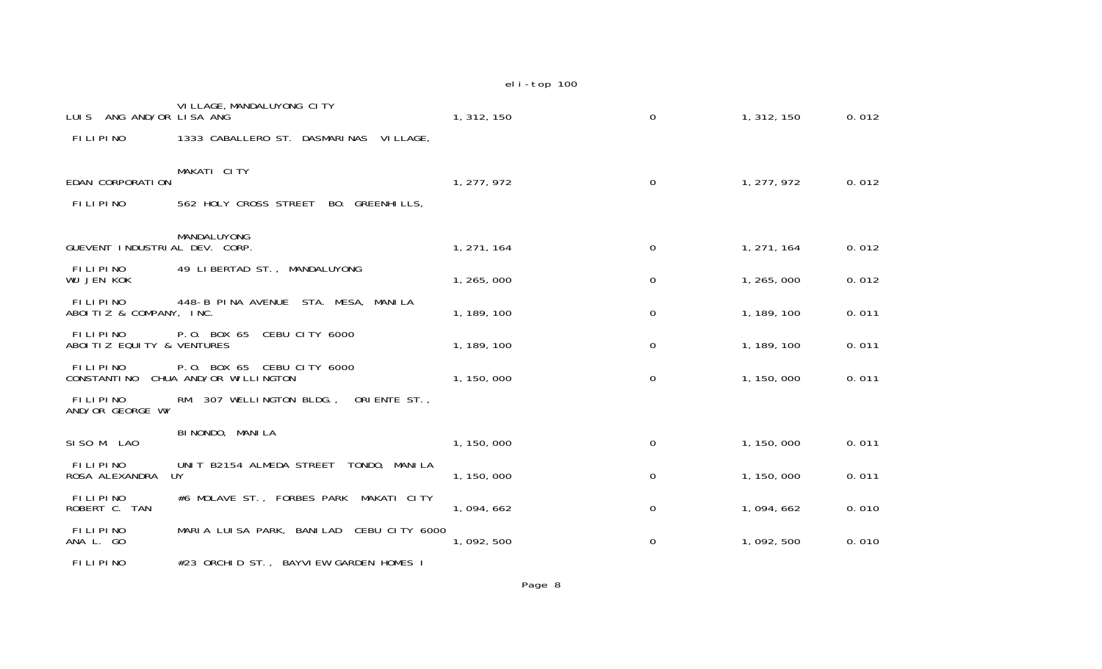| LUIS ANG AND/OR LISA ANG                   | VI LLAGE, MANDALUYONG CITY                                | 1, 312, 150 | $\Omega$ | 1, 312, 150 | 0.012 |
|--------------------------------------------|-----------------------------------------------------------|-------------|----------|-------------|-------|
| FILIPINO                                   | 1333 CABALLERO ST. DASMARINAS<br>VI LLAGE,                |             |          |             |       |
| EDAN CORPORATION                           | MAKATI CITY                                               | 1, 277, 972 | $\Omega$ | 1, 277, 972 | 0.012 |
| <b>FILIPINO</b>                            | 562 HOLY CROSS STREET<br>BO. GREENHILLS,                  |             |          |             |       |
| GUEVENT INDUSTRIAL DEV. CORP.              | MANDALUYONG                                               | 1, 271, 164 | 0        | 1, 271, 164 | 0.012 |
| <b>FILIPINO</b><br><b>WU JEN KOK</b>       | 49 LIBERTAD ST., MANDALUYONG                              | 1, 265, 000 | 0        | 1, 265, 000 | 0.012 |
| <b>FILIPINO</b><br>ABOITIZ & COMPANY, INC. | 448-B PINA AVENUE STA. MESA, MANILA                       | 1, 189, 100 | $\Omega$ | 1, 189, 100 | 0.011 |
| FILIPINO<br>ABOITIZ EQUITY & VENTURES      | CEBU CITY 6000<br>P.O. BOX 65                             | 1, 189, 100 | 0        | 1, 189, 100 | 0.011 |
| FILIPINO<br><b>CONSTANTI NO</b>            | P.O. BOX 65<br>CEBU CITY 6000<br>CHUA AND/OR WI LLI NGTON | 1, 150, 000 | 0        | 1, 150, 000 | 0.011 |
| FILIPINO<br>AND/OR GEORGE WY               | RM. 307 WELLINGTON BLDG.,<br>ORIENTE ST.,                 |             |          |             |       |
| SISO M. LAO                                | BI NONDO, MANI LA                                         | 1, 150, 000 | $\Omega$ | 1, 150, 000 | 0.011 |
| FILIPINO<br>ROSA ALEXANDRA                 | UNIT B2154 ALMEDA STREET<br>TONDO, MANILA<br>UY           | 1, 150, 000 | 0        | 1, 150, 000 | 0.011 |
| <b>FILIPINO</b><br>ROBERT C. TAN           | #6 MOLAVE ST., FORBES PARK<br>MAKATI CITY                 | 1,094,662   | $\Omega$ | 1,094,662   | 0.010 |
| <b>FILIPINO</b><br>ANA L. GO               | MARIA LUISA PARK, BANILAD<br>CEBU CITY 6000               | 1,092,500   | 0        | 1,092,500   | 0.010 |
|                                            |                                                           |             |          |             |       |

FILIPINO #23 ORCHID ST., BAYVIEW GARDEN HOMES I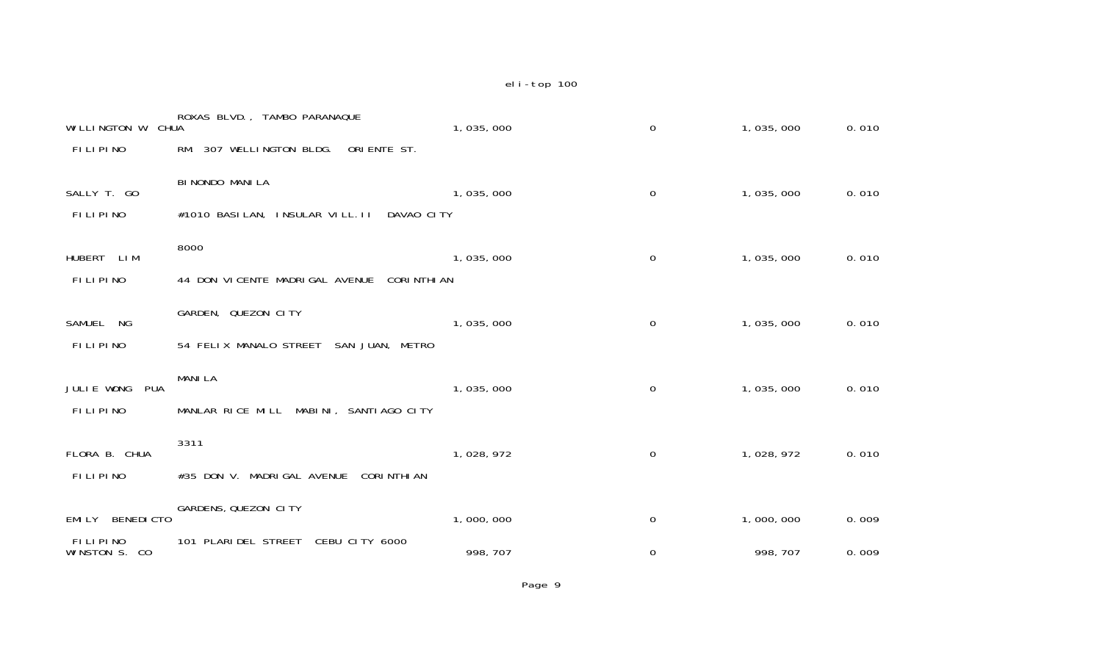| WILLINGTON W. CHUA                  | ROXAS BLVD., TAMBO PARANAQUE                        | 1,035,000 | $\mathbf 0$         | 1,035,000 | 0.010 |
|-------------------------------------|-----------------------------------------------------|-----------|---------------------|-----------|-------|
| <b>FILIPINO</b>                     | 307 WELLINGTON BLDG.<br>ORIENTE ST.<br>RM.          |           |                     |           |       |
| SALLY T. GO                         | BI NONDO MANI LA                                    | 1,035,000 | $\mathbf 0$         | 1,035,000 | 0.010 |
| FILIPINO                            | #1010 BASILAN, INSULAR VILL. II<br>DAVAO CITY       |           |                     |           |       |
| <b>HUBERT</b><br>LI M               | 8000                                                | 1,035,000 | 0                   | 1,035,000 | 0.010 |
| <b>FILIPINO</b>                     | 44 DON VICENTE MADRIGAL AVENUE<br><b>CORINTHIAN</b> |           |                     |           |       |
| SAMUEL NG                           | GARDEN, QUEZON CITY                                 | 1,035,000 | $\mathsf{O}\xspace$ | 1,035,000 | 0.010 |
| FILIPINO                            | 54 FELIX MANALO STREET<br>SAN JUAN, METRO           |           |                     |           |       |
| JULIE WONG<br><b>PUA</b>            | <b>MANILA</b>                                       | 1,035,000 | $\mathbf 0$         | 1,035,000 | 0.010 |
| FILIPINO                            | MANLAR RICE MILL MABINI, SANTIAGO CITY              |           |                     |           |       |
| FLORA B. CHUA                       | 3311                                                | 1,028,972 | $\mathbf 0$         | 1,028,972 | 0.010 |
| FILIPINO                            | #35 DON V. MADRIGAL AVENUE<br><b>CORINTHIAN</b>     |           |                     |           |       |
| <b>BENEDICTO</b><br>EMI LY          | GARDENS, QUEZON CITY                                | 1,000,000 | $\mathbf 0$         | 1,000,000 | 0.009 |
| <b>FILIPINO</b><br>WINSTON S.<br>CO | 101 PLARIDEL STREET<br>CEBU CITY 6000               | 998, 707  | $\mathbf 0$         | 998, 707  | 0.009 |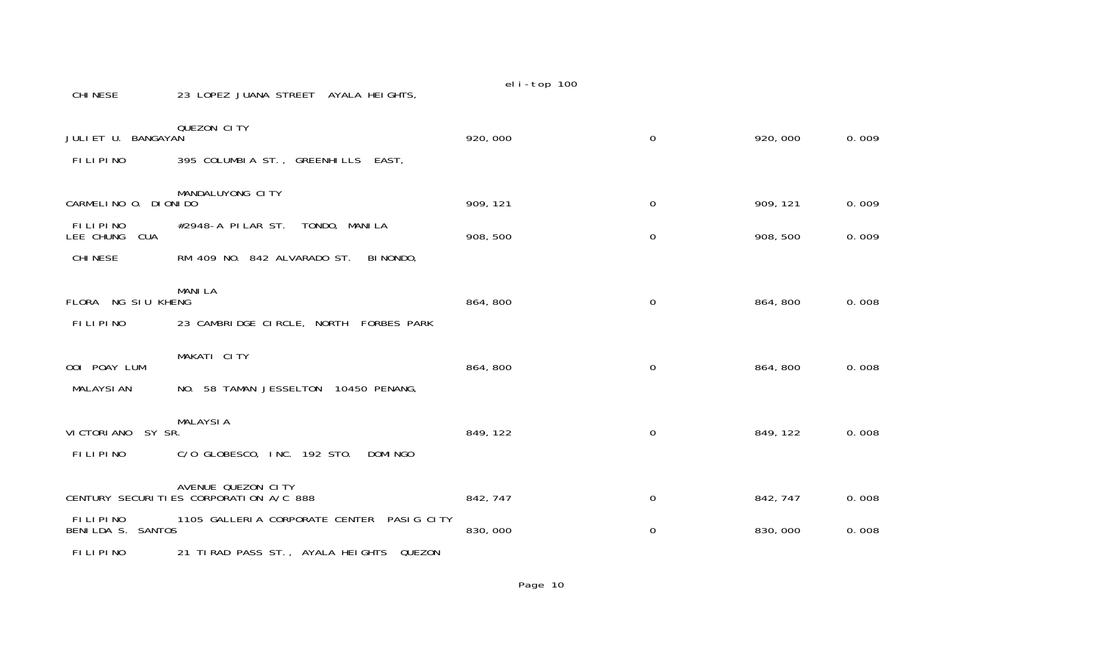CHINESE 23 LOPEZ JUANA STREET AYALA HEIGHTS,

| JULIET U. BANGAYAN                        | QUEZON CITY                               | 920,000  | $\mathbf 0$ | 920,000  | 0.009 |
|-------------------------------------------|-------------------------------------------|----------|-------------|----------|-------|
| <b>FILIPINO</b>                           | 395 COLUMBIA ST., GREENHILLS EAST,        |          |             |          |       |
| CARMELINO O. DIONIDO                      | MANDALUYONG CITY                          | 909, 121 | $\mathbf 0$ | 909, 121 | 0.009 |
| FILIPINO                                  | #2948-A PI LAR ST.<br>TONDO, MANILA       |          |             |          |       |
| LEE CHUNG<br><b>CUA</b><br><b>CHINESE</b> | RM 409 NO. 842 ALVARADO ST.<br>BI NONDO,  | 908, 500 | $\mathbf 0$ | 908, 500 | 0.009 |
|                                           | <b>MANILA</b>                             |          |             |          |       |
| FLORA NG SIU KHENG                        |                                           | 864, 800 | 0           | 864, 800 | 0.008 |
| FILIPINO                                  | 23 CAMBRIDGE CIRCLE, NORTH FORBES PARK    |          |             |          |       |
| OOI POAY LUM                              | MAKATI CITY                               | 864, 800 | $\mathbf 0$ | 864, 800 | 0.008 |
| <b>MALAYSIAN</b>                          | NO. 58 TAMAN JESSELTON 10450 PENANG,      |          |             |          |       |
| VI CTORI ANO<br>SY SR.                    | <b>MALAYSIA</b>                           | 849, 122 | 0           | 849, 122 | 0.008 |
| FILIPINO                                  | C/O GLOBESCO, INC. 192 STO.<br>DOMI NGO   |          |             |          |       |
|                                           | AVENUE QUEZON CITY                        |          |             |          |       |
|                                           | CENTURY SECURITIES CORPORATION A/C 888    | 842, 747 | 0           | 842, 747 | 0.008 |
| FILIPINO<br>BENILDA S. SANTOS             | 1105 GALLERIA CORPORATE CENTER PASIG CITY | 830,000  | $\mathbf 0$ | 830,000  | 0.008 |
| FILIPINO                                  | 21 TIRAD PASS ST., AYALA HEIGHTS QUEZON   |          |             |          |       |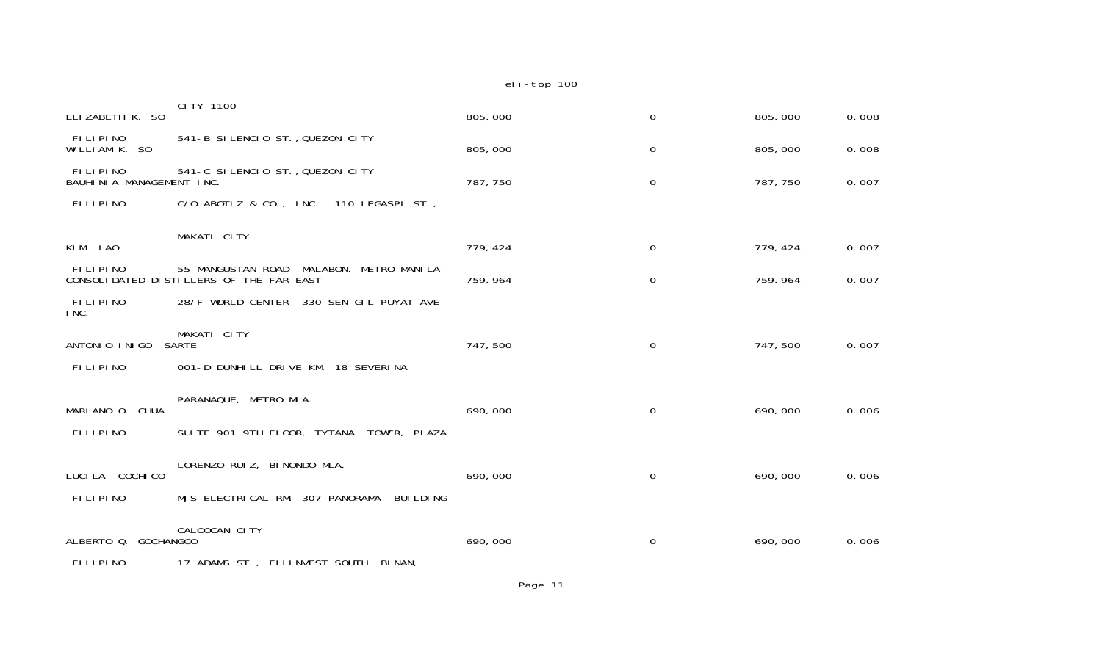|                                      |                                                                                       | eli-top 100 |             |          |       |
|--------------------------------------|---------------------------------------------------------------------------------------|-------------|-------------|----------|-------|
| ELIZABETH K. SO                      | CI TY 1100                                                                            | 805,000     | $\mathbf 0$ | 805,000  | 0.008 |
| <b>FILIPINO</b><br>WILLIAM K. SO     | 541-B SILENCIO ST., QUEZON CITY                                                       | 805,000     | 0           | 805,000  | 0.008 |
| FILIPINO<br>BAUHINIA MANAGEMENT INC. | 541-C SILENCIO ST., QUEZON CITY                                                       | 787, 750    | $\mathbf 0$ | 787, 750 | 0.007 |
| <b>FILIPINO</b>                      | C/O ABOTIZ & CO., INC. 110 LEGASPI ST.,                                               |             |             |          |       |
| KIM LAO                              | MAKATI CITY                                                                           | 779, 424    | $\mathbf 0$ | 779, 424 | 0.007 |
| FILIPINO                             | MALABON, METRO MANILA<br>55 MANGUSTAN ROAD<br>CONSOLIDATED DISTILLERS OF THE FAR EAST | 759, 964    | $\mathbf 0$ | 759, 964 | 0.007 |
| FILIPINO<br>INC.                     | 28/F WORLD CENTER 330 SEN GIL PUYAT AVE                                               |             |             |          |       |
| ANTONIO INIGO                        | MAKATI CITY<br><b>SARTE</b>                                                           | 747,500     | $\mathbf 0$ | 747,500  | 0.007 |
| FILIPINO                             | 001-D DUNHILL DRIVE KM. 18 SEVERINA                                                   |             |             |          |       |
| MARIANO O. CHUA                      | PARANAQUE, METRO MLA.                                                                 | 690,000     | 0           | 690,000  | 0.006 |
| FILIPINO                             | SUITE 901 9TH FLOOR, TYTANA TOWER, PLAZA                                              |             |             |          |       |
| LUCI LA COCHI CO                     | LORENZO RUIZ, BINONDO MLA.                                                            | 690,000     | $\mathbf 0$ | 690,000  | 0.006 |
| FILIPINO                             | MJS ELECTRICAL RM. 307 PANORAMA<br><b>BUI LDI NG</b>                                  |             |             |          |       |
| ALBERTO Q. GOCHANGCO                 | CALOOCAN CITY                                                                         | 690,000     | 0           | 690,000  | 0.006 |
| <b>FILLDINA</b>                      | 17 ADAMC CT<br>FULLMUFCT COUTH DIMAN                                                  |             |             |          |       |

FILIPINO 17 ADAMS ST., FILINVEST SOUTH BINAN,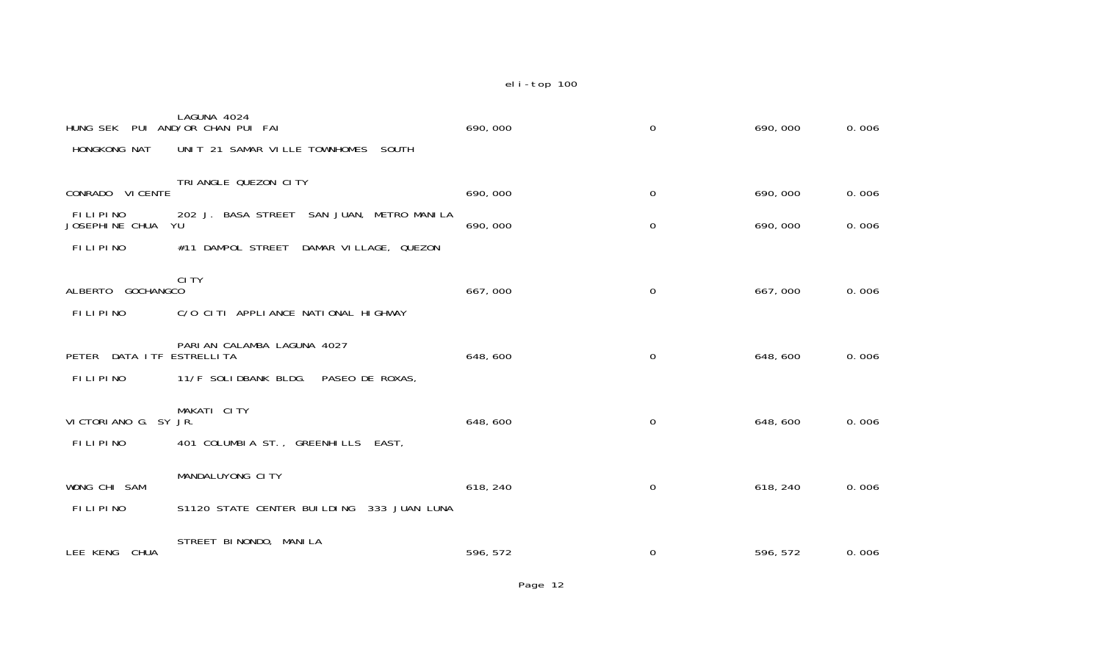| PUI<br>HUNG SEK                   | LAGUNA 4024<br>AND/OR CHAN PUI FAI                  | 690,000  | $\mathbf 0$      | 690,000  | 0.006 |
|-----------------------------------|-----------------------------------------------------|----------|------------------|----------|-------|
| HONGKONG NAT                      | UNIT 21 SAMAR VILLE TOWNHOMES<br><b>SOUTH</b>       |          |                  |          |       |
| CONRADO VI CENTE                  | TRI ANGLE QUEZON CITY                               | 690,000  | $\boldsymbol{0}$ | 690,000  | 0.006 |
| <b>FILIPINO</b><br>JOSEPHINE CHUA | SAN JUAN, METRO MANILA<br>202 J. BASA STREET<br>YU  | 690,000  | $\boldsymbol{0}$ | 690,000  | 0.006 |
| FILIPINO                          | DAMPOL STREET<br>DAMAR VILLAGE, QUEZON<br>#11       |          |                  |          |       |
| ALBERTO<br><b>GOCHANGCO</b>       | <b>CITY</b>                                         | 667,000  | $\boldsymbol{0}$ | 667,000  | 0.006 |
| FILIPINO                          | C/O CITI APPLIANCE NATIONAL HIGHWAY                 |          |                  |          |       |
| PETER                             | PARIAN CALAMBA LAGUNA 4027<br>DATA I TF ESTRELLI TA | 648, 600 | $\mathbf 0$      | 648,600  | 0.006 |
| FILIPINO                          | 11/F SOLIDBANK BLDG.<br>PASEO DE ROXAS,             |          |                  |          |       |
| VICTORIANO G. SY JR.              | MAKATI CITY                                         | 648,600  | $\mathbf 0$      | 648,600  | 0.006 |
| FILIPINO                          | 401 COLUMBIA ST., GREENHILLS EAST,                  |          |                  |          |       |
| WONG CHI SAM                      | MANDALUYONG CITY                                    | 618, 240 | $\mathbf 0$      | 618, 240 | 0.006 |
| FILIPINO                          | S1120 STATE CENTER BUILDING<br>333 JUAN LUNA        |          |                  |          |       |
| LEE KENG<br><b>CHUA</b>           | STREET BINONDO, MANILA                              | 596, 572 | 0                | 596, 572 | 0.006 |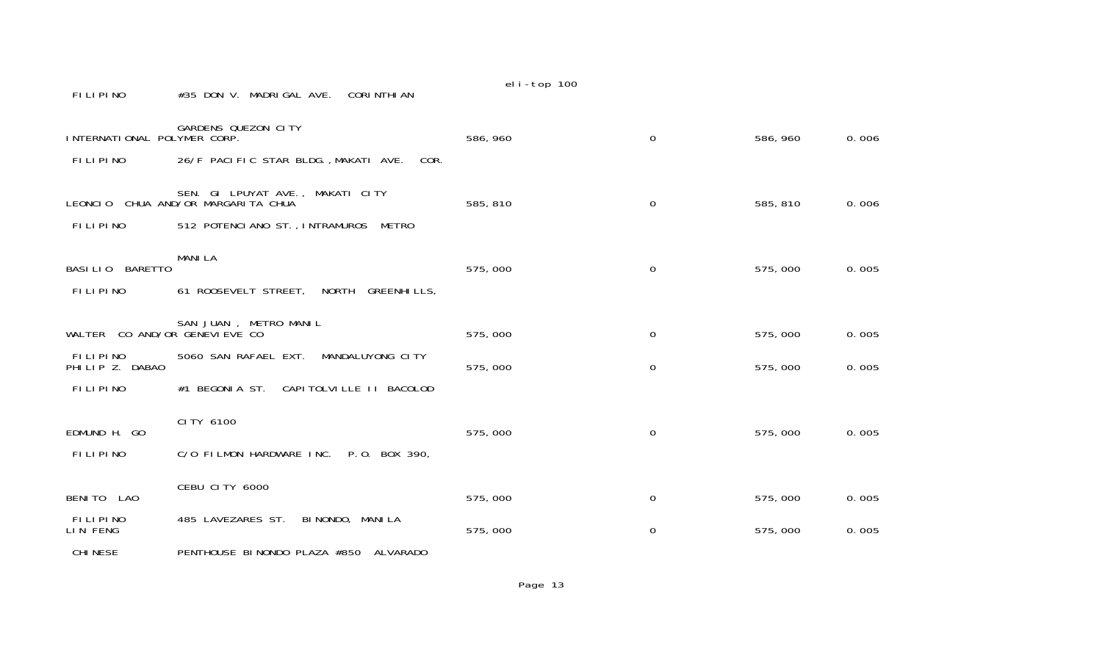| INTERNATIONAL POLYMER CORP.        | <b>GARDENS QUEZON CITY</b>                                             | 586, 960 | 0           | 586, 960 | 0.006 |
|------------------------------------|------------------------------------------------------------------------|----------|-------------|----------|-------|
| <b>FILIPINO</b>                    | 26/F PACIFIC STAR BLDG., MAKATI AVE.<br>COR.                           |          |             |          |       |
|                                    |                                                                        |          |             |          |       |
|                                    | SEN. GI LPUYAT AVE., MAKATI CITY<br>LEONCIO CHUA AND/OR MARGARITA CHUA | 585, 810 | $\Omega$    | 585, 810 | 0.006 |
| <b>FILIPINO</b>                    | 512 POTENCIANO ST., INTRAMUROS<br>METRO                                |          |             |          |       |
|                                    | <b>MANILA</b>                                                          |          |             |          |       |
| BASILIO BARETTO                    |                                                                        | 575,000  | $\mathbf 0$ | 575,000  | 0.005 |
| FILIPINO                           | 61 ROOSEVELT STREET,<br>NORTH<br><b>GREENHILLS,</b>                    |          |             |          |       |
|                                    | SAN JUAN, METRO MANIL                                                  |          |             |          |       |
| WALTER CO AND/OR GENEVI EVE CO     |                                                                        | 575,000  | 0           | 575,000  | 0.005 |
| <b>FILIPINO</b><br>PHILIP Z. DABAO | 5060 SAN RAFAEL EXT.<br>MANDALUYONG CITY                               | 575,000  | 0           | 575,000  | 0.005 |
| FILIPINO                           | #1 BEGONIA ST. CAPITOLVILLE II BACOLOD                                 |          |             |          |       |
|                                    | CI TY 6100                                                             |          |             |          |       |
| EDMUND H. GO                       |                                                                        | 575,000  | 0           | 575,000  | 0.005 |
| <b>FILIPINO</b>                    | C/O FILMON HARDWARE INC.<br>P.O. BOX 390,                              |          |             |          |       |
|                                    | CEBU CITY 6000                                                         |          |             |          |       |
| BENITO LAO                         |                                                                        | 575,000  | 0           | 575,000  | 0.005 |
| FILIPINO<br>LIN FENG               | 485 LAVEZARES ST.<br>BI NONDO, MANI LA                                 | 575,000  | 0           | 575,000  | 0.005 |
| <b>CHINESE</b>                     | PENTHOUSE BINONDO PLAZA #850<br>ALVARADO                               |          |             |          |       |
|                                    |                                                                        | Page 13  |             |          |       |

FILIPINO #35 DON V. MADRIGAL AVE. CORINTHIAN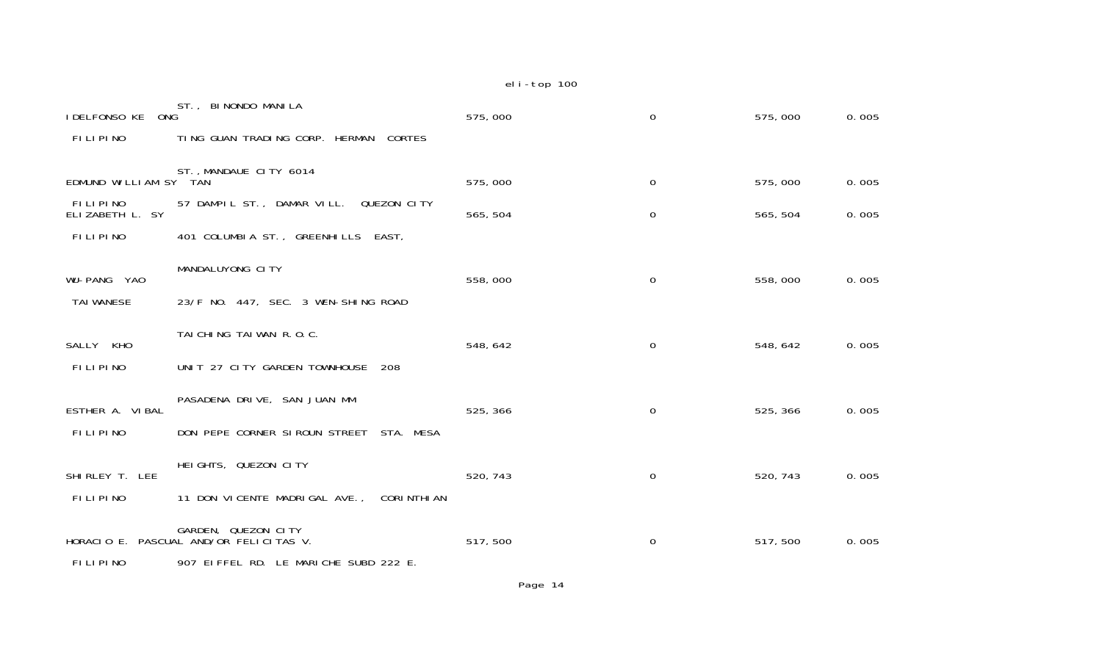| <b>IDELFONSO KE</b><br>ONG                      | ST., BINONDO MANILA                                | 575,000  | 0           | 575,000  | 0.005 |
|-------------------------------------------------|----------------------------------------------------|----------|-------------|----------|-------|
| FILIPINO                                        | TING GUAN TRADING CORP. HERMAN<br><b>CORTES</b>    |          |             |          |       |
| ST., MANDAUE CITY 6014<br>EDMUND WILLIAM SY TAN |                                                    | 575,000  | 0           | 575,000  | 0.005 |
| <b>FILIPINO</b><br>ELIZABETH L. SY              | 57 DAMPIL ST., DAMAR VILL. QUEZON CITY             | 565, 504 | $\mathbf 0$ | 565, 504 | 0.005 |
| <b>FILIPINO</b>                                 | 401 COLUMBIA ST., GREENHILLS EAST,                 |          |             |          |       |
| WU-PANG YAO                                     | MANDALUYONG CITY                                   | 558,000  | 0           | 558,000  | 0.005 |
| <b>TAI WANESE</b>                               | 23/F NO. 447, SEC. 3 WEN-SHING ROAD                |          |             |          |       |
| SALLY KHO                                       | TAI CHING TAI WAN R.O.C.                           | 548, 642 | 0           | 548, 642 | 0.005 |
| FILIPINO                                        | UNIT 27 CITY GARDEN TOWNHOUSE<br>-208              |          |             |          |       |
| ESTHER A. VIBAL                                 | PASADENA DRIVE, SAN JUAN MM                        | 525, 366 | $\mathbf 0$ | 525, 366 | 0.005 |
| <b>FILIPINO</b>                                 | DON PEPE CORNER SIROUN STREET<br>STA. MESA         |          |             |          |       |
| SHI RLEY T. LEE                                 | HEIGHTS, QUEZON CITY                               | 520, 743 | $\mathbf 0$ | 520, 743 | 0.005 |
| <b>FILIPINO</b>                                 | 11 DON VICENTE MADRIGAL AVE.,<br><b>CORINTHIAN</b> |          |             |          |       |
| HORACIO E.                                      | GARDEN, QUEZON CITY<br>PASCUAL AND/OR FELICITAS V. | 517,500  | $\mathbf 0$ | 517,500  | 0.005 |
| FILIPINO                                        | 907 EIFFEL RD. LE MARICHE SUBD 222 E.              |          |             |          |       |

Page 14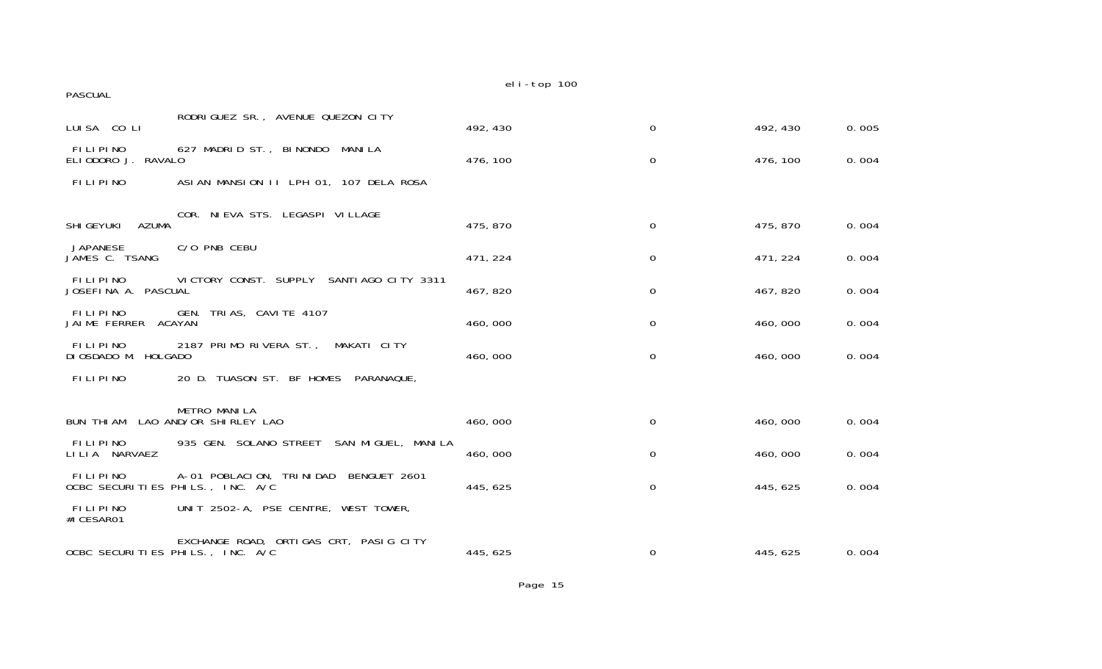| <b>PASCUAL</b>                                                                           | eli-top 100 |             |          |       |
|------------------------------------------------------------------------------------------|-------------|-------------|----------|-------|
| RODRIGUEZ SR., AVENUE QUEZON CITY<br>LUISA COLI                                          | 492, 430    | $\mathbf 0$ | 492, 430 | 0.005 |
| FILIPINO<br>627 MADRID ST., BINONDO MANILA<br>ELIODORO J.<br>RAVALO                      | 476, 100    | 0           | 476, 100 | 0.004 |
| FILIPINO<br>ASIAN MANSION II LPH 01, 107 DELA ROSA                                       |             |             |          |       |
| COR. NI EVA STS. LEGASPI VI LLAGE<br><b>AZUMA</b><br><b>SHI GEYUKI</b>                   | 475, 870    | $\Omega$    | 475, 870 | 0.004 |
| C/O PNB CEBU<br><b>JAPANESE</b><br>JAMES C. TSANG                                        | 471, 224    | 0           | 471, 224 | 0.004 |
| FILIPINO<br>VICTORY CONST. SUPPLY<br>SANTI AGO CITY 3311<br>JOSEFINA A. PASCUAL          | 467, 820    | 0           | 467, 820 | 0.004 |
| FILIPINO<br>GEN. TRIAS, CAVITE 4107<br>JAIME FERRER<br><b>ACAYAN</b>                     | 460,000     | 0           | 460,000  | 0.004 |
| FILIPINO<br>2187 PRIMO RIVERA ST., MAKATI CITY<br>DI OSDADO M. HOLGADO                   | 460,000     | $\mathbf 0$ | 460,000  | 0.004 |
| <b>FILIPINO</b><br>20 D. TUASON ST. BF HOMES PARANAQUE,                                  |             |             |          |       |
| <b>METRO MANILA</b><br>LAO AND/OR SHIRLEY LAO<br><b>BUN THI AM</b>                       | 460,000     | $\mathbf 0$ | 460,000  | 0.004 |
| FILIPINO<br>935 GEN. SOLANO STREET<br>SAN MIGUEL, MANILA<br>LILIA NARVAEZ                | 460,000     | 0           | 460,000  | 0.004 |
| FILIPINO<br>A-01 POBLACION, TRINIDAD<br>BENGUET 2601<br>OCBC SECURITIES PHILS., INC. A/C | 445, 625    | $\mathbf 0$ | 445, 625 | 0.004 |
| <b>FILIPINO</b><br>UNIT 2502-A, PSE CENTRE, WEST TOWER,<br>#I CESAR01                    |             |             |          |       |
| EXCHANGE ROAD, ORTIGAS CRT, PASIG CITY<br>OCBC SECURITIES PHILS., INC. A/C               | 445, 625    | 0           | 445, 625 | 0.004 |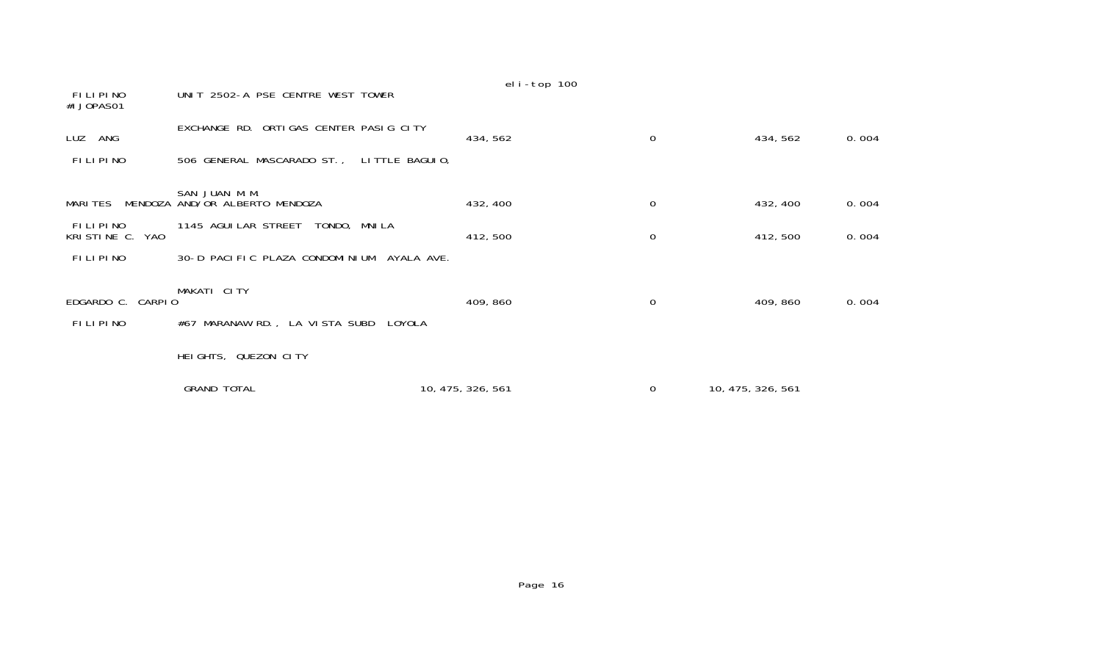|                                       |                                           | eli-top 100       |             |                   |       |
|---------------------------------------|-------------------------------------------|-------------------|-------------|-------------------|-------|
| FILIPINO<br>#I JOPASO1                | UNIT 2502-A PSE CENTRE WEST TOWER         |                   |             |                   |       |
| LUZ ANG                               | EXCHANGE RD. ORTIGAS CENTER PASIG CITY    | 434, 562          | 0           | 434, 562          | 0.004 |
| FILIPINO                              | 506 GENERAL MASCARADO ST., LITTLE BAGUIO, |                   |             |                   |       |
|                                       | SAN JUAN M.M.                             |                   |             |                   |       |
| MARI TES                              | MENDOZA AND/OR ALBERTO MENDOZA            | 432, 400          | $\mathbf 0$ | 432, 400          | 0.004 |
| <b>FILIPINO</b><br>KRISTINE C.<br>YAO | 1145 AGUI LAR STREET<br>TONDO, MNILA      | 412, 500          | 0           | 412, 500          | 0.004 |
| <b>FILIPINO</b>                       | 30-D PACIFIC PLAZA CONDOMINIUM AYALA AVE. |                   |             |                   |       |
|                                       |                                           |                   |             |                   |       |
| EDGARDO C. CARPIO                     | MAKATI CITY                               | 409, 860          | 0           | 409, 860          | 0.004 |
| FILIPINO                              | #67 MARANAW RD., LA VISTA SUBD<br>LOYOLA  |                   |             |                   |       |
|                                       | HEIGHTS, QUEZON CITY                      |                   |             |                   |       |
|                                       | <b>GRAND TOTAL</b>                        | 10, 475, 326, 561 | 0           | 10, 475, 326, 561 |       |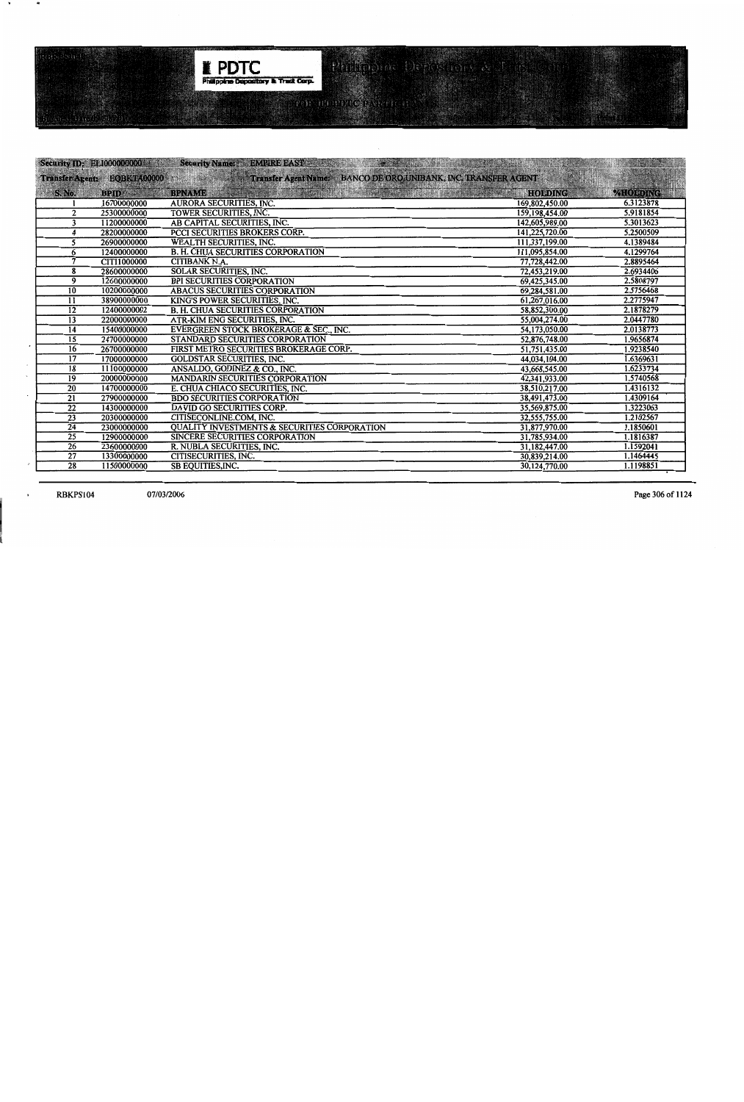

|                 | Security ID: EL1000000000 12 | Per Paranthel<br>Security Name: BMPREEAST Security                                                                                         | <b>RUILE AS AN ARTHUR.</b>    |                 |
|-----------------|------------------------------|--------------------------------------------------------------------------------------------------------------------------------------------|-------------------------------|-----------------|
|                 |                              | dulka ke sa militar di k<br>Transfer Agent: EQBKTA00000 18 Second State of Transfer Agent Name: BANCO DE ORO, UNIBANK, INC. TRANSFER AGENT | IN SANTI KA-2000 ILI ALAMANYA |                 |
| <b>S. No.</b>   | <b>BPID</b>                  | e de la constitución de la constitución de la constitución de la constitución de la constitución de la constit<br><b>BPNAME</b>            | <b>HOLDING</b>                | <b>%HOLDING</b> |
|                 | 16700000000                  | AURORA SECURITIES, INC.                                                                                                                    | 169,802,450.00                | 6.3123878       |
| $\overline{2}$  | 25300000000                  | TOWER SECURITIES, INC.                                                                                                                     | 159, 198, 454.00              | 5.9181854       |
| 3               | 11200000000                  | AB CAPITAL SECURITIES, INC.                                                                                                                | 142,605,989.00                | 5.3013623       |
| 4               | 28200000000                  | PCCI SECURITIES BROKERS CORP.                                                                                                              | 141,225,720.00                | 5.2500509       |
| 5               | 26900000000                  | <b>WEALTH SECURITIES, INC.</b>                                                                                                             | 111,337,199.00                | 4.1389484       |
| 6               | 12400000000                  | <b>B. H. CHUA SECURITIES CORPORATION</b>                                                                                                   | 111,095,854.00                | 4.1299764       |
| $\overline{7}$  | CITI1000000                  | CITIBANK N.A.                                                                                                                              | 77,728,442.00                 | 2.8895464       |
| 8               | 28600000000                  | <b>SOLAR SECURITIES, INC.</b>                                                                                                              | 72,453,219.00                 | 2.6934406       |
| 9               | 12600000000                  | <b>BPI SECURITIES CORPORATION</b>                                                                                                          | 69,425,345.00                 | 2.5808797       |
| $\overline{10}$ | 10200000000                  | <b>ABACUS SECURITIES CORPORATION</b>                                                                                                       | 69,284,581.00                 | 2.5756468       |
| 11              | 38900000000                  | KING'S POWER SECURITIES, INC.                                                                                                              | 61,267,016.00                 | 2.2775947       |
| $\overline{12}$ | 12400000002                  | <b>B. H. CHUA SECURITIES CORPORATION</b>                                                                                                   | 58,852,300.00                 | 2.1878279       |
| $\overline{13}$ | 22000000000                  | ATR-KIM ENG SECURITIES, INC.                                                                                                               | 55,004,274.00                 | 2.0447780       |
| $\overline{14}$ | 15400000000                  | EVERGREEN STOCK BROKERAGE & SEC., INC.                                                                                                     | 54,173,050.00                 | 2.0138773       |
| $\overline{15}$ | 24700000000                  | STANDARD SECURITIES CORPORATION                                                                                                            | 52,876,748.00                 | 1.9656874       |
| 16              | 26700000000                  | FIRST METRO SECURITIES BROKERAGE CORP.                                                                                                     | 51,751,435.00                 | 1.9238540       |
| $\overline{17}$ | 17000000000                  | <b>GOLDSTAR SECURITIES, INC.</b>                                                                                                           | 44,034,104.00                 | 1.6369631       |
| $\overline{18}$ | 11100000000                  | ANSALDO, GODINEZ & CO., INC.                                                                                                               | 43,668,545.00                 | 1.6233734       |
| 19              | 20000000000                  | <b>MANDARIN SECURITIES CORPORATION</b>                                                                                                     | 42,341,933.00                 | 1.5740568       |
| $\overline{20}$ | 14700000000                  | E. CHUA CHIACO SECURITIES, INC.                                                                                                            | 38,510,217.00                 | 1.4316132       |
| $\overline{21}$ | 27900000000                  | <b>BDO SECURITIES CORPORATION</b>                                                                                                          | 38,491,473.00                 | 1.4309164       |
| $\overline{22}$ | 14300000000                  | DAVID GO SECURITIES CORP.                                                                                                                  | 35,569,875.00                 | 1.3223063       |
| $\overline{23}$ | 20300000000                  | CITISECONLINE.COM, INC.                                                                                                                    | 32,555,755.00                 | 1.2102567       |
| $\overline{24}$ | 23000000000                  | <b>QUALITY INVESTMENTS &amp; SECURITIES CORPORATION</b>                                                                                    | 31,877,970.00                 | 1.1850601       |
| $\overline{25}$ | 12900000000                  | <b>SINCERE SECURITIES CORPORATION</b>                                                                                                      | 31,785,934.00                 | 1.1816387       |
| $\overline{26}$ | 23600000000                  | R. NUBLA SECURITIES, INC.                                                                                                                  | 31,182,447.00                 | 1.1592041       |
| 27              | 13300000000                  | CITISECURITIES, INC.                                                                                                                       | 30,839,214.00                 | 1.1464445       |
| 28              | 11500000000                  | <b>SB EQUITIES, INC.</b>                                                                                                                   | 30,124,770.00                 | 1.1198851       |

**RBKPS104** 

 $\;$ 

 $\ddot{\phantom{1}}$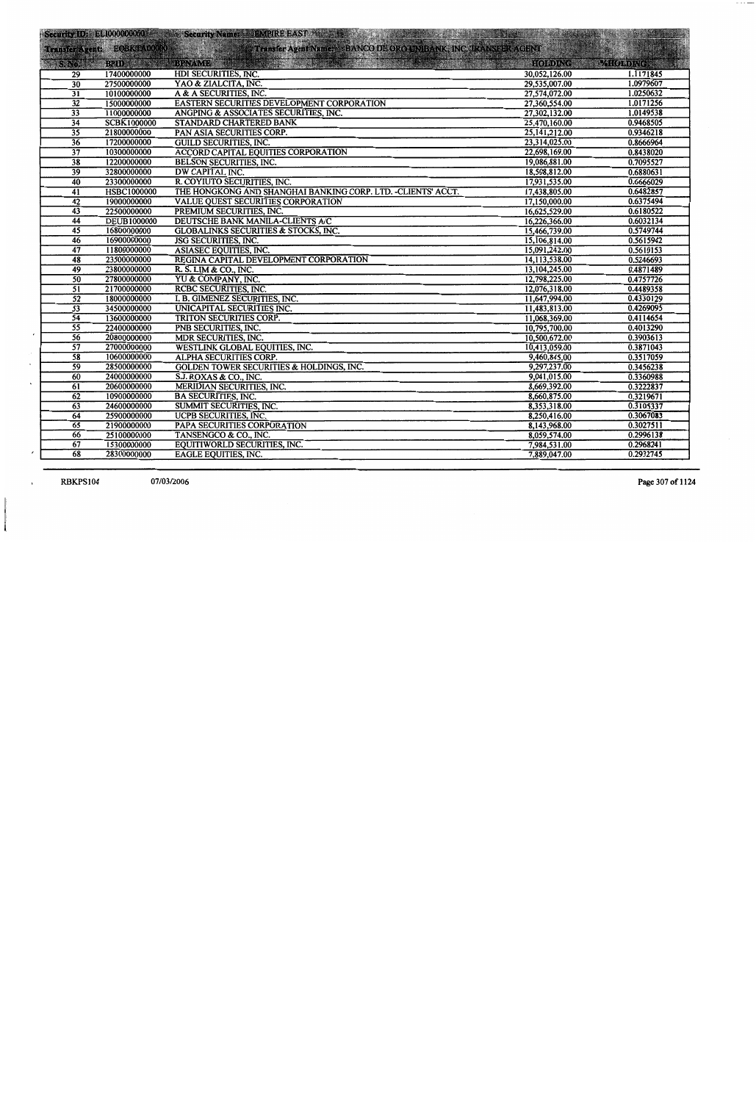|                 |                    | Security IDE EL000000000 Control Security Name: CEMPIRE EAST With the Control of the Security IDE EL000000000 |                                |           |
|-----------------|--------------------|---------------------------------------------------------------------------------------------------------------|--------------------------------|-----------|
|                 |                    | Transfer Agent EQBK6200000 Transfer Agent Names BANCO DE ORO UNIBANK, INC. TRANSFER AGENT                     |                                | <b>MA</b> |
|                 |                    | S. No. BPID BPID BENAME AND BELLEVILLE STATES OF BUILDING                                                     | <b>SEE AGODING CARAGORDING</b> |           |
| 29              | 17400000000        | HDI SECURITIES, INC.                                                                                          | 30,052,126.00                  | 1.1171845 |
| 30              | 27500000000        | YAO & ZIALCITA, INC.                                                                                          | 29,535,007.00                  | 1.0979607 |
| $\overline{31}$ | 10100000000        | A & A SECURITIES, INC.                                                                                        | 27,574,072.00                  | 1.0250632 |
| $\overline{32}$ | 15000000000        | EASTERN SECURITIES DEVELOPMENT CORPORATION                                                                    | 27,360,554.00                  | 1.0171256 |
| $\overline{33}$ | 11000000000        | ANGPING & ASSOCIATES SECURITIES, INC.                                                                         | 27,302,132.00                  | 1.0149538 |
| $\overline{34}$ | <b>SCBK1000000</b> | <b>STANDARD CHARTERED BANK</b>                                                                                | 25,470,160.00                  | 0.9468505 |
| $\overline{35}$ | 21800000000        | PAN ASIA SECURITIES CORP.                                                                                     | 25, 141, 212.00                | 0.9346218 |
| 36              | 17200000000        | <b>GUILD SECURITIES, INC.</b>                                                                                 | 23,314,025.00                  | 0.8666964 |
| $\overline{37}$ | 10300000000        | ACCORD CAPITAL EQUITIES CORPORATION                                                                           | 22,698,169.00                  | 0.8438020 |
| $\overline{38}$ | 12200000000        | <b>BELSON SECURITIES, INC.</b>                                                                                | 19,086,881.00                  | 0.7095527 |
| $\overline{39}$ | 32800000000        | <b>DW CAPITAL INC.</b>                                                                                        | 18,508,812.00                  | 0.6880631 |
| 40              | 23300000000        | R. COYIUTO SECURITIES, INC.                                                                                   | 17,931,535.00                  | 0.6666029 |
| $\overline{41}$ | <b>HSBC1000000</b> | THE HONGKONG AND SHANGHAI BANKING CORP. LTD. - CLIENTS' ACCT.                                                 | 17,438,805.00                  | 0.6482857 |
| 42              | 19000000000        | VALUE QUEST SECURITIES CORPORATION                                                                            | 17,150,000.00                  | 0.6375494 |
| 43              | 22500000000        | PREMIUM SECURITIES, INC.                                                                                      | 16,625,529.00                  | 0.6180522 |
| 44              | <b>DEUB1000000</b> | DEUTSCHE BANK MANILA-CLIENTS A/C                                                                              | 16,226,366.00                  | 0.6032134 |
| $\overline{45}$ | 16800000000        | <b>GLOBALINKS SECURITIES &amp; STOCKS, INC.</b>                                                               | 15,466,739.00                  | 0.5749744 |
| 46              | 16900000000        | JSG SECURITIES, INC.                                                                                          | 15,106,814.00                  | 0.5615942 |
| $\overline{47}$ | 11800000000        | ASIASEC EQUITIES, INC.                                                                                        | 15,091,242.00                  | 0.5610153 |
| 48              | 23500000000        | REGINA CAPITAL DEVELOPMENT CORPORATION                                                                        | 14,113,538.00                  | 0.5246693 |
| 49              | 23800000000        | R. S. LIM & CO., INC.                                                                                         | 13,104,245.00                  | 0.4871489 |
| $\overline{50}$ | 27800000000        | YU & COMPANY, INC.                                                                                            | 12,798,225.00                  | 0.4757726 |
| $\overline{51}$ | 21700000000        | RCBC SECURITIES, INC.                                                                                         | 12,076,318.00                  | 0.4489358 |
| $\overline{52}$ | 18000000000        | I. B. GIMENEZ SECURITIES, INC.                                                                                | 11,647,994.00                  | 0.4330129 |
| $\overline{53}$ | 34500000000        | UNICAPITAL SECURITIES INC.                                                                                    | 11,483,813.00                  | 0.4269095 |
| $\overline{54}$ | 13600000000        | TRITON SECURITIES CORP.                                                                                       | 11,068,369.00                  | 0.4114654 |
| $\overline{55}$ | 22400000000        | PNB SECURITIES, INC.                                                                                          | 10,795,700.00                  | 0.4013290 |
| 56              | 20800000000        | MDR SECURITIES, INC.                                                                                          | 10,500,672.00                  | 0.3903613 |
| $\overline{57}$ | 27000000000        | WESTLINK GLOBAL EQUITIES, INC.                                                                                | 10,413,059.00                  | 0.3871043 |
| $\overline{58}$ | 10600000000        | <b>ALPHA SECURITIES CORP.</b>                                                                                 | 9,460,845.00                   | 0.3517059 |
| $\overline{59}$ | 28500000000        | <b>GOLDEN TOWER SECURITIES &amp; HOLDINGS, INC.</b>                                                           | 9,297,237.00                   | 0.3456238 |
| 60              | 24000000000        | S.J. ROXAS & CO., INC.                                                                                        | 9,041,015.00                   | 0.3360988 |
| $\overline{61}$ | 20600000000        | MERIDIAN SECURITIES, INC.                                                                                     | 8,669,392.00                   | 0.3222837 |
| 62              | 10900000000        | <b>BA SECURITIES, INC.</b>                                                                                    | 8,660,875.00                   | 0.3219671 |
| 63              | 24600000000        | SUMMIT SECURITIES, INC.                                                                                       | 8,353,318.00                   | 0.3105337 |
| 64              | 25900000000        | UCPB SECURITIES, INC.                                                                                         | 8,250,416.00                   | 0.3067083 |
| 65              | 21900000000        | PAPA SECURITIES CORPORATION                                                                                   | 8,143,968.00                   | 0.3027511 |
| 66              | 25100000000        | TANSENGCO & CO., INC.                                                                                         | 8,059,574.00                   | 0.2996138 |
| 67              | 15300000000        | EQUITIWORLD SECURITIES, INC.                                                                                  | 7,984,531.00                   | 0.2968241 |
| 68              | 28300000000        | EAGLE EQUITIES, INC.                                                                                          | 7,889,047.00                   | 0.2932745 |

RBKPS104

 $\overline{\phantom{a}}$ 

 $\overline{\phantom{a}}$ 

Page 307 of 1124

 $\mathcal{M}(\mathcal{C})$  , and  $\mathcal{M}(\mathcal{C})$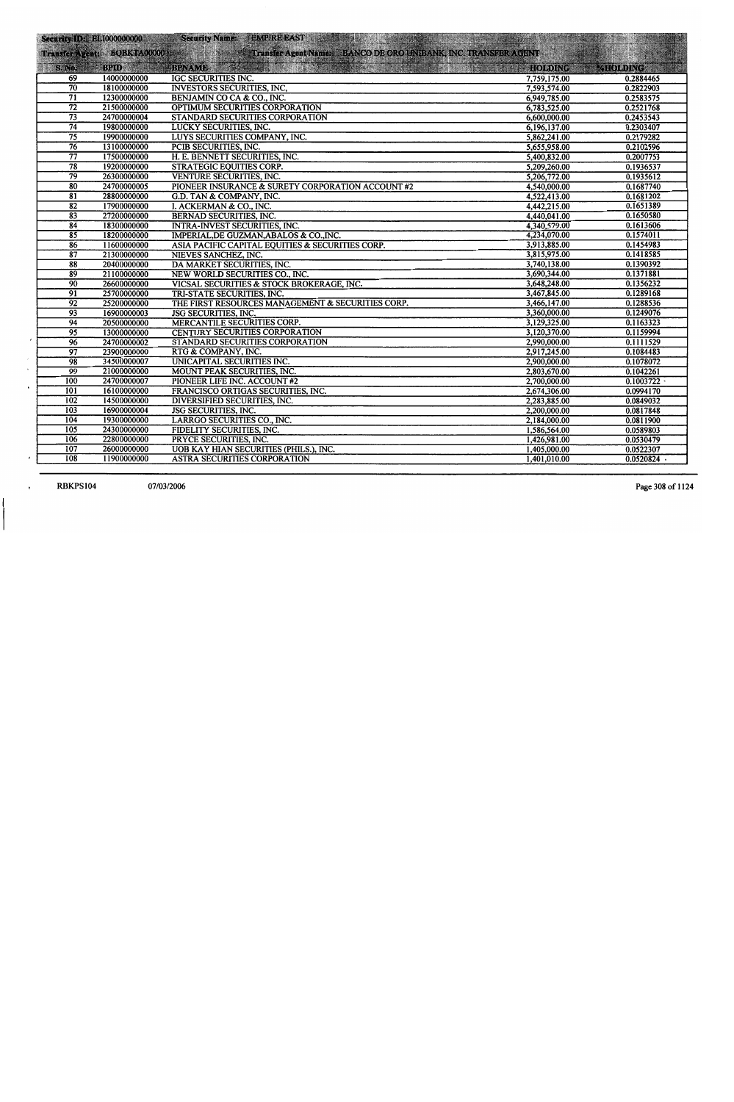|                            | <b>Security ID: EL100000000</b> | Security Name: EMPIRE EAST And the state of the state of the Security Name:                                                 | <b>The Residence</b> |                 |
|----------------------------|---------------------------------|-----------------------------------------------------------------------------------------------------------------------------|----------------------|-----------------|
|                            |                                 | Transfer Agent: BQBKTA00000 EXAMPLE Transfer Agent Name: BANCO DE ORO UNIBANK, INC. TRANSFER AGENT<br>S. No. 31 BPID BPNAME |                      |                 |
|                            |                                 |                                                                                                                             |                      | <b>MEOLDING</b> |
| 69                         | 14000000000                     | IGC SECURITIES INC.                                                                                                         | 7,759,175.00         | 0.2884465       |
| $\overline{70}$            | 18100000000                     | <b>INVESTORS SECURITIES, INC.</b>                                                                                           | 7,593,574.00         | 0.2822903       |
| 71                         | 12300000000                     | BENJAMIN CO CA & CO., INC.                                                                                                  | 6,949,785.00         | 0.2583575       |
| $\overline{72}$            | 21500000000                     | OPTIMUM SECURITIES CORPORATION                                                                                              | 6,783,525.00         | 0.2521768       |
| $\overline{73}$            | 24700000004                     | STANDARD SECURITIES CORPORATION                                                                                             | 6,600,000.00         | 0.2453543       |
| $\overline{74}$            | 19800000000                     | LUCKY SECURITIES, INC.                                                                                                      | 6,196,137.00         | 0.2303407       |
| $\overline{75}$            | 19900000000                     | LUYS SECURITIES COMPANY, INC.                                                                                               | 5,862,241.00         | 0.2179282       |
| $\overline{76}$            | 13100000000                     | PCIB SECURITIES, INC.                                                                                                       | 5,655,958.00         | 0.2102596       |
| $\overline{77}$            | 17500000000                     | H. E. BENNETT SECURITIES, INC.                                                                                              | 5,400,832.00         | 0.2007753       |
| $\overline{78}$            | 19200000000                     | <b>STRATEGIC EQUITIES CORP.</b>                                                                                             | 5,209,260.00         | 0.1936537       |
| $\overline{79}$            | 26300000000                     | VENTURE SECURITIES, INC.                                                                                                    | 5,206,772.00         | 0.1935612       |
| 80                         | 24700000005                     | PIONEER INSURANCE & SURETY CORPORATION ACCOUNT #2                                                                           | 4,540,000.00         | 0.1687740       |
| $\overline{81}$            | 28800000000                     | G.D. TAN & COMPANY, INC.                                                                                                    | 4,522,413.00         | 0.1681202       |
| $\overline{82}$            | 17900000000                     | I. ACKERMAN & CO., INC.                                                                                                     | 4,442,215.00         | 0.1651389       |
| 83                         | 27200000000                     | <b>BERNAD SECURITIES, INC.</b>                                                                                              | 4,440,041.00         | 0.1650580       |
| 84                         | 18300000000                     | <b>INTRA-INVEST SECURITIES, INC.</b>                                                                                        | 4,340,579.00         | 0.1613606       |
| $\overline{85}$            | 18200000000                     | IMPERIAL, DE GUZMAN, ABALOS & CO., INC.                                                                                     | 4,234,070.00         | 0.1574011       |
| $\overline{86}$            | 11600000000                     | ASIA PACIFIC CAPITAL EQUITIES & SECURITIES CORP.                                                                            | 3,913,885.00         | 0.1454983       |
| $\overline{\overline{87}}$ | 21300000000                     | NIEVES SANCHEZ, INC.                                                                                                        | 3,815,975.00         | 0.1418585       |
| $\overline{\overline{88}}$ | 20400000000                     | DA MARKET SECURITIES, INC.                                                                                                  | 3,740,138.00         | 0.1390392       |
| $\overline{89}$            | 21100000000                     | NEW WORLD SECURITIES CO., INC.                                                                                              | 3,690,344.00         | 0.1371881       |
| $\overline{90}$            | 26600000000                     | VICSAL SECURITIES & STOCK BROKERAGE, INC.                                                                                   | 3,648,248.00         | 0.1356232       |
| $\overline{91}$            | 25700000000                     | TRI-STATE SECURITIES, INC.                                                                                                  | 3,467,845.00         | 0.1289168       |
| $\overline{92}$            | 25200000000                     | THE FIRST RESOURCES MANAGEMENT & SECURITIES CORP.                                                                           | 3,466,147.00         | 0.1288536       |
| 93                         | 16900000003                     | JSG SECURITIES, INC.                                                                                                        | 3,360,000.00         | 0.1249076       |
| $\overline{94}$            | 20500000000                     | MERCANTILE SECURITIES CORP.                                                                                                 | 3,129,325.00         | 0.1163323       |
| 95                         | 13000000000                     | CENTURY SECURITIES CORPORATION                                                                                              | 3,120,370.00         | 0.1159994       |
| 96                         | 24700000002                     | STANDARD SECURITIES CORPORATION                                                                                             | 2,990,000.00         | 0.1111529       |
| $\overline{97}$            | 23900000000                     | RTG & COMPANY, INC.                                                                                                         | 2,917,245.00         | 0.1084483       |
| 98                         | 34500000007                     | UNICAPITAL SECURITIES INC.                                                                                                  | 2,900,000.00         | 0.1078072       |
| $\overline{99}$            | 21000000000                     | MOUNT PEAK SECURITIES, INC.                                                                                                 | 2,803,670.00         | 0.1042261       |
| 100                        | 24700000007                     | PIONEER LIFE INC. ACCOUNT #2                                                                                                | 2,700,000.00         | 0.1003722       |
| 101                        | 16100000000                     | FRANCISCO ORTIGAS SECURITIES, INC.                                                                                          | 2,674,306.00         | 0.0994170       |
| 102                        | 14500000000                     | DIVERSIFIED SECURITIES, INC.                                                                                                | 2,283,885.00         | 0.0849032       |
| 103                        | 16900000004                     | JSG SECURITIES, INC.                                                                                                        | 2,200,000.00         | 0.0817848       |
| 104                        | 19300000000                     | LARRGO SECURITIES CO., INC.                                                                                                 | 2,184,000.00         | 0.0811900       |
| 105                        | 24300000000                     | FIDELITY SECURITIES, INC.                                                                                                   | 1,586,564.00         | 0.0589803       |
| 106                        | 22800000000                     | PRYCE SECURITIES, INC.                                                                                                      | 1,426,981.00         | 0.0530479       |
| 107                        | 26000000000                     | UOB KAY HIAN SECURITIES (PHILS.), INC.                                                                                      | 1,405,000.00         | 0.0522307       |
| 108                        | 11900000000                     | <b>ASTRA SECURITIES CORPORATION</b>                                                                                         | 1,401,010.00         | 0.0520824       |

**RBKPS104** 

 $\lambda$ 

 $\ddot{\phantom{0}}$ 

 $\pmb{r}$ 

 $\pmb{\mathrm{t}}$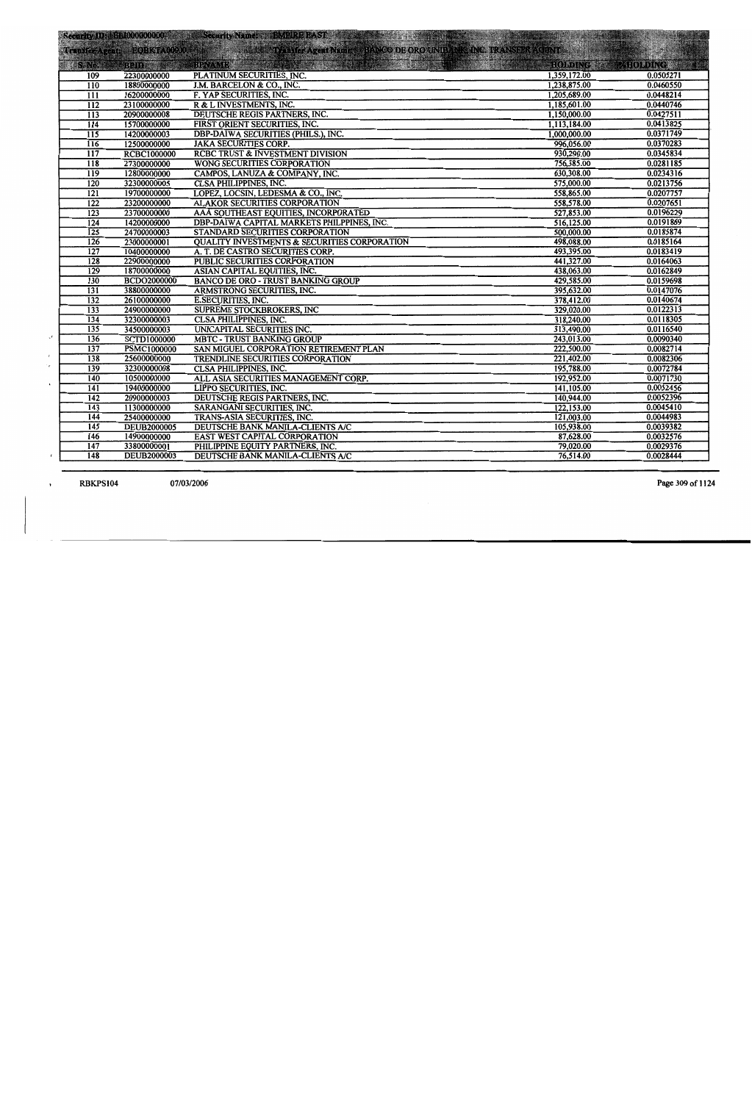|                  |                                   | Security IDS: BE1000000000 Security Name: BMPIRE EAST Security Name: | and the state of the state of the state of the state of the state of the state of the state of the state of th |                        |
|------------------|-----------------------------------|----------------------------------------------------------------------|----------------------------------------------------------------------------------------------------------------|------------------------|
|                  |                                   | Transfer Agent: EQBKTA01900                                          |                                                                                                                |                        |
|                  |                                   |                                                                      |                                                                                                                |                        |
| $\approx$ SeNot  |                                   | <b>MARINE STATE</b><br>BRIDGE BRAMES AND MALL                        |                                                                                                                | HOLDING BURGHOLDING    |
| 109              | 22300000000                       | PLATINUM SECURITIES, INC.                                            | 1,359,172.00                                                                                                   | 0.0505271              |
| $\overline{110}$ | 18800000000                       | J.M. BARCELON & CO., INC.                                            | 1,238,875.00                                                                                                   | 0.0460550              |
| $\overline{111}$ | 16200000000                       | F. YAP SECURITIES, INC.                                              | 1,205,689.00                                                                                                   | 0.0448214              |
| $\overline{112}$ | 23100000000                       | R & L INVESTMENTS, INC.                                              | 1,185,601.00                                                                                                   | 0.0440746<br>0.0427511 |
| $\overline{113}$ | 20900000008                       | DEUTSCHE REGIS PARTNERS, INC.                                        | 1,150,000.00                                                                                                   |                        |
| 114              | 15700000000                       | FIRST ORIENT SECURITIES, INC.                                        | 1,113,184.00                                                                                                   | 0.0413825<br>0.0371749 |
| $\overline{115}$ | 14200000003                       | <b>DBP-DAIWA SECURITIES (PHILS.), INC.</b>                           | 1,000,000.00<br>996,056.00                                                                                     | 0.0370283              |
| 116              | 12500000000                       | <b>JAKA SECURITIES CORP.</b>                                         | 930,290.00                                                                                                     | 0.0345834              |
| $\overline{117}$ | <b>RCBC1000000</b>                | <b>RCBC TRUST &amp; INVESTMENT DIVISION</b>                          |                                                                                                                | 0.0281185              |
| 118              | 27300000000                       | <b>WONG SECURITIES CORPORATION</b>                                   | 756,385.00                                                                                                     | 0.0234316              |
| 119              | 12800000000                       | CAMPOS, LANUZA & COMPANY, INC.                                       | 630,308.00                                                                                                     | 0.0213756              |
| 120              | 32300000005                       | <b>CLSA PHILIPPINES, INC.</b>                                        | 575,000.00                                                                                                     | 0.0207757              |
| $\overline{121}$ | 19700000000                       | LOPEZ, LOCSIN, LEDESMA & CO., INC.                                   | 558,865.00                                                                                                     | 0.0207651              |
| $\overline{122}$ | 23200000000                       | <b>ALAKOR SECURITIES CORPORATION</b>                                 | 558,578.00                                                                                                     | 0.0196229              |
| $\overline{123}$ | 23700000000                       | AAA SOUTHEAST EQUITIES, INCORPORATED                                 | 527,853.00                                                                                                     | 0.0191869              |
| $\overline{124}$ | 14200000000                       | DBP-DAIWA CAPITAL MARKETS PHILPPINES, INC.                           | 516,125.00                                                                                                     | 0.0185874              |
| $\overline{125}$ | 24700000003                       | STANDARD SECURITIES CORPORATION                                      | 500,000.00<br>498,088.00                                                                                       | 0.0185164              |
| 126              | 23000000001                       | <b>QUALITY INVESTMENTS &amp; SECURITIES CORPORATION</b>              | 493,395.00                                                                                                     | 0.0183419              |
| 127<br>128       | 10400000000                       | A. T. DE CASTRO SECURITIES CORP.                                     | 441,327.00                                                                                                     | 0.0164063              |
| 129              | 22900000000<br>18700000000        | PUBLIC SECURITIES CORPORATION<br>ASIAN CAPITAL EQUITIES, INC.        | 438,063.00                                                                                                     | 0.0162849              |
| 130              |                                   | <b>BANCO DE ORO - TRUST BANKING GROUP</b>                            | 429,585.00                                                                                                     | 0.0159698              |
| $\overline{131}$ | <b>BCDO2000000</b><br>38800000000 | ARMSTRONG SECURITIES, INC.                                           | 395,632.00                                                                                                     | 0.0147076              |
| 132              | 26100000000                       | <b>E.SECURITIES, INC.</b>                                            | 378,412.00                                                                                                     | 0.0140674              |
| 133              | 24900000000                       | <b>SUPREME STOCKBROKERS, INC</b>                                     | 329,020.00                                                                                                     | 0.0122313              |
| $\overline{134}$ | 32300000003                       | <b>CLSA PHILIPPINES, INC.</b>                                        | 318,240.00                                                                                                     | 0.0118305              |
| 135              | 34500000003                       | UNICAPITAL SECURITIES INC.                                           | 313,490.00                                                                                                     | 0.0116540              |
| 136              | <b>SCTD1000000</b>                | <b>MBTC - TRUST BANKING GROUP</b>                                    | 243,013.00                                                                                                     | 0.0090340              |
| $\overline{137}$ | <b>PSMC1000000</b>                | SAN MIGUEL CORPORATION RETIREMENT PLAN                               | 222,500.00                                                                                                     | 0.0082714              |
| $\overline{138}$ | 25600000000                       | <b>TRENDLINE SECURITIES CORPORATION</b>                              | 221,402.00                                                                                                     | 0.0082306              |
| 139              | 32300000008                       | <b>CLSA PHILIPPINES, INC.</b>                                        | 195,788.00                                                                                                     | 0.0072784              |
| 140              | 10500000000                       | ALL ASIA SECURITIES MANAGEMENT CORP.                                 | 192,952.00                                                                                                     | 0.0071730              |
| 141              | 19400000000                       | LIPPO SECURITIES, INC.                                               | 141,105.00                                                                                                     | 0.0052456              |
| $\overline{142}$ | 20900000003                       | DEUTSCHE REGIS PARTNERS, INC.                                        | 140,944.00                                                                                                     | 0.0052396              |
| 143              | 11300000000                       | SARANGANI SECURITIES, INC.                                           | 122,153.00                                                                                                     | 0.0045410              |
| 144              | 25400000000                       | TRANS-ASIA SECURITIES, INC.                                          | 121,003.00                                                                                                     | 0.0044983              |
| $\overline{145}$ | <b>DEUB2000005</b>                | DEUTSCHE BANK MANILA-CLIENTS A/C                                     | 105,938.00                                                                                                     | 0.0039382              |
| 146              | 14900000000                       | EAST WEST CAPITAL CORPORATION                                        | 87,628.00                                                                                                      | 0.0032576              |
| 147              | 33800000001                       | PHILIPPINE EQUITY PARTNERS, INC.                                     | 79,020.00                                                                                                      | 0.0029376              |
| 148              | <b>DEUB2000003</b>                | DEUTSCHE BANK MANILA-CLIENTS A/C                                     | 76,514.00                                                                                                      | 0.0028444              |
|                  |                                   |                                                                      |                                                                                                                |                        |

**RBKPS104** 07/03/2006

 $\sqrt{ }$ 

٠.

 $\mathbf{r}$ 

 $\epsilon$ 

 $\,$ 

Page 309 of 1124